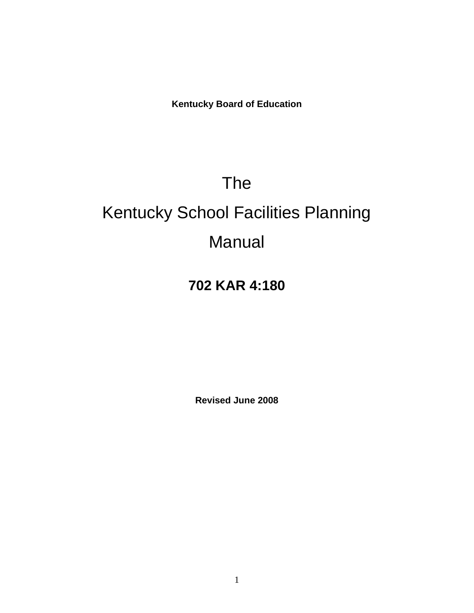**Kentucky Board of Education** 

# The

# Kentucky School Facilities Planning Manual

# **702 KAR 4:180**

**Revised June 2008**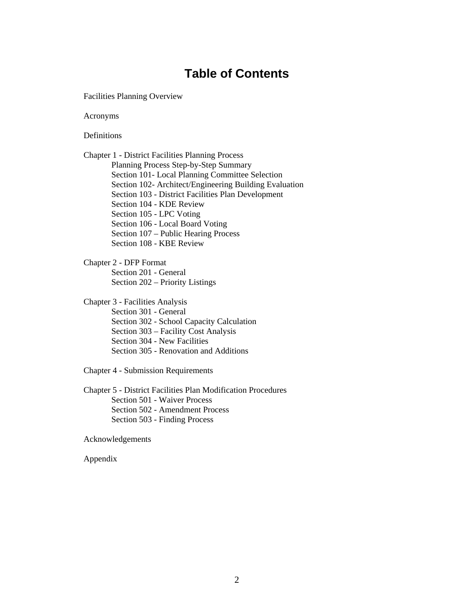# **Table of Contents**

Facilities Planning Overview

Acronyms

**Definitions** 

Chapter 1 - District Facilities Planning Process Planning Process Step-by-Step Summary Section 101- Local Planning Committee Selection Section 102- Architect/Engineering Building Evaluation Section 103 - District Facilities Plan Development Section 104 - KDE Review Section 105 - LPC Voting Section 106 - Local Board Voting Section 107 – Public Hearing Process Section 108 - KBE Review

Chapter 2 - DFP Format Section 201 - General Section 202 – Priority Listings

Chapter 3 - Facilities Analysis Section 301 - General Section 302 - School Capacity Calculation Section 303 – Facility Cost Analysis Section 304 - New Facilities Section 305 - Renovation and Additions

Chapter 4 - Submission Requirements

Chapter 5 - District Facilities Plan Modification Procedures Section 501 - Waiver Process Section 502 - Amendment Process Section 503 - Finding Process

Acknowledgements

Appendix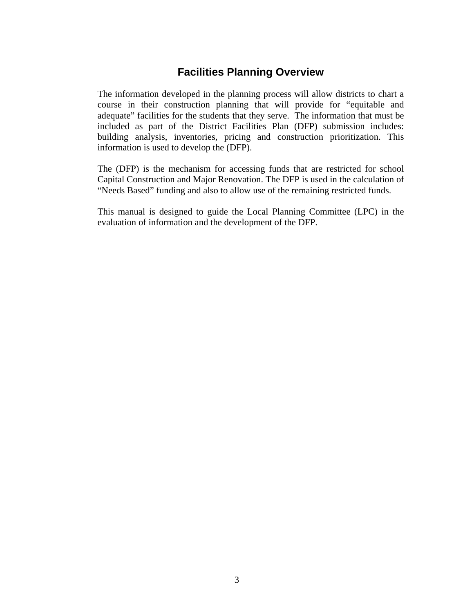# **Facilities Planning Overview**

The information developed in the planning process will allow districts to chart a course in their construction planning that will provide for "equitable and adequate" facilities for the students that they serve. The information that must be included as part of the District Facilities Plan (DFP) submission includes: building analysis, inventories, pricing and construction prioritization. This information is used to develop the (DFP).

The (DFP) is the mechanism for accessing funds that are restricted for school Capital Construction and Major Renovation. The DFP is used in the calculation of "Needs Based" funding and also to allow use of the remaining restricted funds.

This manual is designed to guide the Local Planning Committee (LPC) in the evaluation of information and the development of the DFP.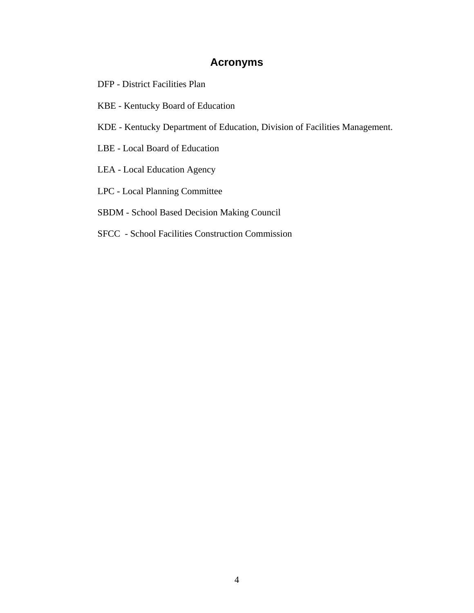# **Acronyms**

- DFP District Facilities Plan
- KBE Kentucky Board of Education
- KDE Kentucky Department of Education, Division of Facilities Management.
- LBE Local Board of Education
- LEA Local Education Agency
- LPC Local Planning Committee
- SBDM School Based Decision Making Council
- SFCC School Facilities Construction Commission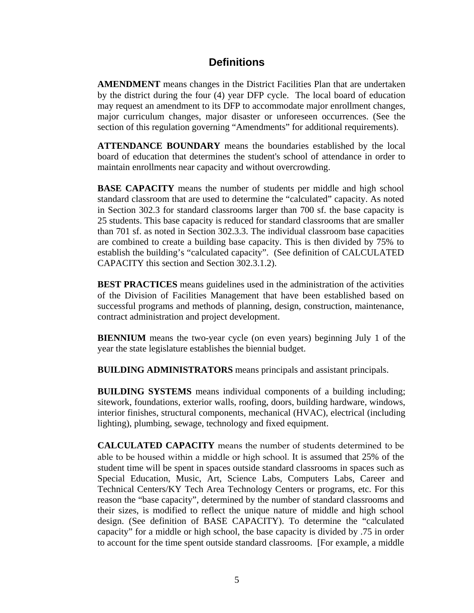### **Definitions**

**AMENDMENT** means changes in the District Facilities Plan that are undertaken by the district during the four (4) year DFP cycle. The local board of education may request an amendment to its DFP to accommodate major enrollment changes, major curriculum changes, major disaster or unforeseen occurrences. (See the section of this regulation governing "Amendments" for additional requirements).

**ATTENDANCE BOUNDARY** means the boundaries established by the local board of education that determines the student's school of attendance in order to maintain enrollments near capacity and without overcrowding.

**BASE CAPACITY** means the number of students per middle and high school standard classroom that are used to determine the "calculated" capacity. As noted in Section 302.3 for standard classrooms larger than 700 sf. the base capacity is 25 students. This base capacity is reduced for standard classrooms that are smaller than 701 sf. as noted in Section 302.3.3. The individual classroom base capacities are combined to create a building base capacity. This is then divided by 75% to establish the building's "calculated capacity". (See definition of CALCULATED CAPACITY this section and Section 302.3.1.2).

**BEST PRACTICES** means guidelines used in the administration of the activities of the Division of Facilities Management that have been established based on successful programs and methods of planning, design, construction, maintenance, contract administration and project development.

**BIENNIUM** means the two-year cycle (on even years) beginning July 1 of the year the state legislature establishes the biennial budget.

**BUILDING ADMINISTRATORS** means principals and assistant principals.

**BUILDING SYSTEMS** means individual components of a building including; sitework, foundations, exterior walls, roofing, doors, building hardware, windows, interior finishes, structural components, mechanical (HVAC), electrical (including lighting), plumbing, sewage, technology and fixed equipment.

**CALCULATED CAPACITY** means the number of students determined to be able to be housed within a middle or high school. It is assumed that 25% of the student time will be spent in spaces outside standard classrooms in spaces such as Special Education, Music, Art, Science Labs, Computers Labs, Career and Technical Centers/KY Tech Area Technology Centers or programs, etc. For this reason the "base capacity", determined by the number of standard classrooms and their sizes, is modified to reflect the unique nature of middle and high school design. (See definition of BASE CAPACITY). To determine the "calculated capacity" for a middle or high school, the base capacity is divided by .75 in order to account for the time spent outside standard classrooms. [For example, a middle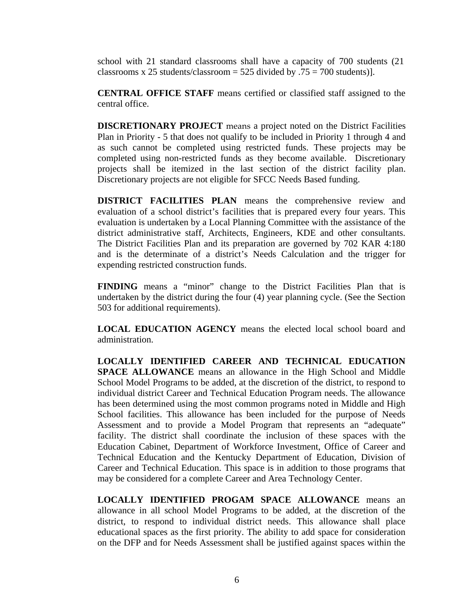school with 21 standard classrooms shall have a capacity of 700 students (21 classrooms x 25 students/classroom = 525 divided by  $.75 = 700$  students).

**CENTRAL OFFICE STAFF** means certified or classified staff assigned to the central office.

**DISCRETIONARY PROJECT** means a project noted on the District Facilities Plan in Priority - 5 that does not qualify to be included in Priority 1 through 4 and as such cannot be completed using restricted funds. These projects may be completed using non-restricted funds as they become available. Discretionary projects shall be itemized in the last section of the district facility plan. Discretionary projects are not eligible for SFCC Needs Based funding.

**DISTRICT FACILITIES PLAN** means the comprehensive review and evaluation of a school district's facilities that is prepared every four years. This evaluation is undertaken by a Local Planning Committee with the assistance of the district administrative staff, Architects, Engineers, KDE and other consultants. The District Facilities Plan and its preparation are governed by 702 KAR 4:180 and is the determinate of a district's Needs Calculation and the trigger for expending restricted construction funds.

**FINDING** means a "minor" change to the District Facilities Plan that is undertaken by the district during the four (4) year planning cycle. (See the Section 503 for additional requirements).

**LOCAL EDUCATION AGENCY** means the elected local school board and administration.

**LOCALLY IDENTIFIED CAREER AND TECHNICAL EDUCATION SPACE ALLOWANCE** means an allowance in the High School and Middle School Model Programs to be added, at the discretion of the district, to respond to individual district Career and Technical Education Program needs. The allowance has been determined using the most common programs noted in Middle and High School facilities. This allowance has been included for the purpose of Needs Assessment and to provide a Model Program that represents an "adequate" facility. The district shall coordinate the inclusion of these spaces with the Education Cabinet, Department of Workforce Investment, Office of Career and Technical Education and the Kentucky Department of Education, Division of Career and Technical Education. This space is in addition to those programs that may be considered for a complete Career and Area Technology Center.

**LOCALLY IDENTIFIED PROGAM SPACE ALLOWANCE** means an allowance in all school Model Programs to be added, at the discretion of the district, to respond to individual district needs. This allowance shall place educational spaces as the first priority. The ability to add space for consideration on the DFP and for Needs Assessment shall be justified against spaces within the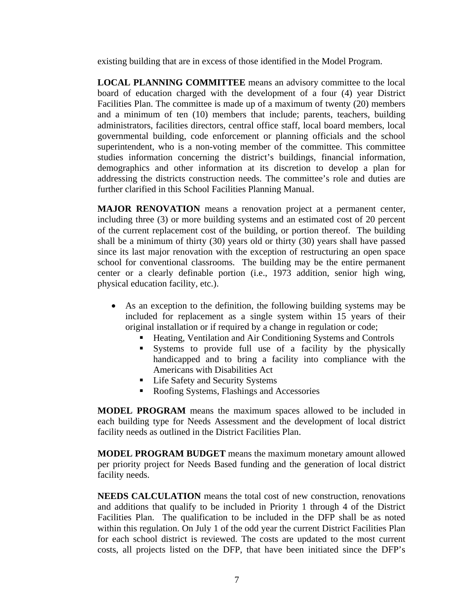existing building that are in excess of those identified in the Model Program.

**LOCAL PLANNING COMMITTEE** means an advisory committee to the local board of education charged with the development of a four (4) year District Facilities Plan. The committee is made up of a maximum of twenty (20) members and a minimum of ten (10) members that include; parents, teachers, building administrators, facilities directors, central office staff, local board members, local governmental building, code enforcement or planning officials and the school superintendent, who is a non-voting member of the committee. This committee studies information concerning the district's buildings, financial information, demographics and other information at its discretion to develop a plan for addressing the districts construction needs. The committee's role and duties are further clarified in this School Facilities Planning Manual.

**MAJOR RENOVATION** means a renovation project at a permanent center, including three (3) or more building systems and an estimated cost of 20 percent of the current replacement cost of the building, or portion thereof. The building shall be a minimum of thirty (30) years old or thirty (30) years shall have passed since its last major renovation with the exception of restructuring an open space school for conventional classrooms. The building may be the entire permanent center or a clearly definable portion (i.e., 1973 addition, senior high wing, physical education facility, etc.).

- As an exception to the definition, the following building systems may be included for replacement as a single system within 15 years of their original installation or if required by a change in regulation or code;
	- Heating, Ventilation and Air Conditioning Systems and Controls
	- Systems to provide full use of a facility by the physically handicapped and to bring a facility into compliance with the Americans with Disabilities Act
	- **Life Safety and Security Systems**
	- Roofing Systems, Flashings and Accessories

**MODEL PROGRAM** means the maximum spaces allowed to be included in each building type for Needs Assessment and the development of local district facility needs as outlined in the District Facilities Plan.

**MODEL PROGRAM BUDGET** means the maximum monetary amount allowed per priority project for Needs Based funding and the generation of local district facility needs.

**NEEDS CALCULATION** means the total cost of new construction, renovations and additions that qualify to be included in Priority 1 through 4 of the District Facilities Plan. The qualification to be included in the DFP shall be as noted within this regulation. On July 1 of the odd year the current District Facilities Plan for each school district is reviewed. The costs are updated to the most current costs, all projects listed on the DFP, that have been initiated since the DFP's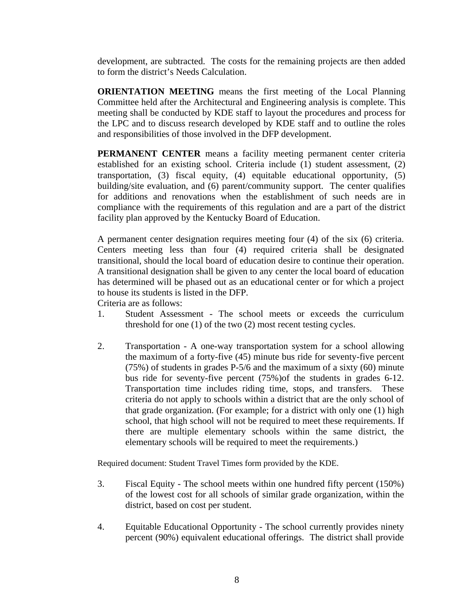development, are subtracted. The costs for the remaining projects are then added to form the district's Needs Calculation.

**ORIENTATION MEETING** means the first meeting of the Local Planning Committee held after the Architectural and Engineering analysis is complete. This meeting shall be conducted by KDE staff to layout the procedures and process for the LPC and to discuss research developed by KDE staff and to outline the roles and responsibilities of those involved in the DFP development.

**PERMANENT CENTER** means a facility meeting permanent center criteria established for an existing school. Criteria include (1) student assessment, (2) transportation, (3) fiscal equity, (4) equitable educational opportunity, (5) building/site evaluation, and (6) parent/community support. The center qualifies for additions and renovations when the establishment of such needs are in compliance with the requirements of this regulation and are a part of the district facility plan approved by the Kentucky Board of Education.

A permanent center designation requires meeting four (4) of the six (6) criteria. Centers meeting less than four (4) required criteria shall be designated transitional, should the local board of education desire to continue their operation. A transitional designation shall be given to any center the local board of education has determined will be phased out as an educational center or for which a project to house its students is listed in the DFP.

Criteria are as follows:

- 1. Student Assessment The school meets or exceeds the curriculum threshold for one (1) of the two (2) most recent testing cycles.
- 2. Transportation A one-way transportation system for a school allowing the maximum of a forty-five (45) minute bus ride for seventy-five percent (75%) of students in grades P-5/6 and the maximum of a sixty (60) minute bus ride for seventy-five percent (75%)of the students in grades 6-12. Transportation time includes riding time, stops, and transfers. These criteria do not apply to schools within a district that are the only school of that grade organization. (For example; for a district with only one (1) high school, that high school will not be required to meet these requirements. If there are multiple elementary schools within the same district, the elementary schools will be required to meet the requirements.)

Required document: Student Travel Times form provided by the KDE.

- 3. Fiscal Equity The school meets within one hundred fifty percent (150%) of the lowest cost for all schools of similar grade organization, within the district, based on cost per student.
- 4. Equitable Educational Opportunity The school currently provides ninety percent (90%) equivalent educational offerings. The district shall provide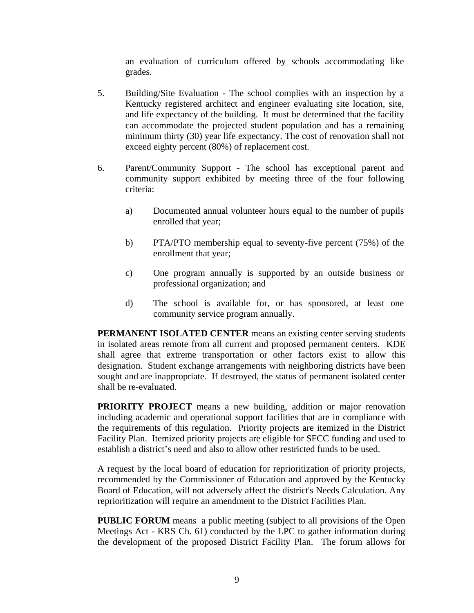an evaluation of curriculum offered by schools accommodating like grades.

- 5. Building/Site Evaluation The school complies with an inspection by a Kentucky registered architect and engineer evaluating site location, site, and life expectancy of the building. It must be determined that the facility can accommodate the projected student population and has a remaining minimum thirty (30) year life expectancy. The cost of renovation shall not exceed eighty percent (80%) of replacement cost.
- 6. Parent/Community Support The school has exceptional parent and community support exhibited by meeting three of the four following criteria:
	- a) Documented annual volunteer hours equal to the number of pupils enrolled that year;
	- b) PTA/PTO membership equal to seventy-five percent (75%) of the enrollment that year;
	- c) One program annually is supported by an outside business or professional organization; and
	- d) The school is available for, or has sponsored, at least one community service program annually.

**PERMANENT ISOLATED CENTER** means an existing center serving students in isolated areas remote from all current and proposed permanent centers. KDE shall agree that extreme transportation or other factors exist to allow this designation. Student exchange arrangements with neighboring districts have been sought and are inappropriate. If destroyed, the status of permanent isolated center shall be re-evaluated.

**PRIORITY PROJECT** means a new building, addition or major renovation including academic and operational support facilities that are in compliance with the requirements of this regulation. Priority projects are itemized in the District Facility Plan. Itemized priority projects are eligible for SFCC funding and used to establish a district's need and also to allow other restricted funds to be used.

A request by the local board of education for reprioritization of priority projects, recommended by the Commissioner of Education and approved by the Kentucky Board of Education, will not adversely affect the district's Needs Calculation. Any reprioritization will require an amendment to the District Facilities Plan.

**PUBLIC FORUM** means a public meeting (subject to all provisions of the Open Meetings Act - KRS Ch. 61) conducted by the LPC to gather information during the development of the proposed District Facility Plan. The forum allows for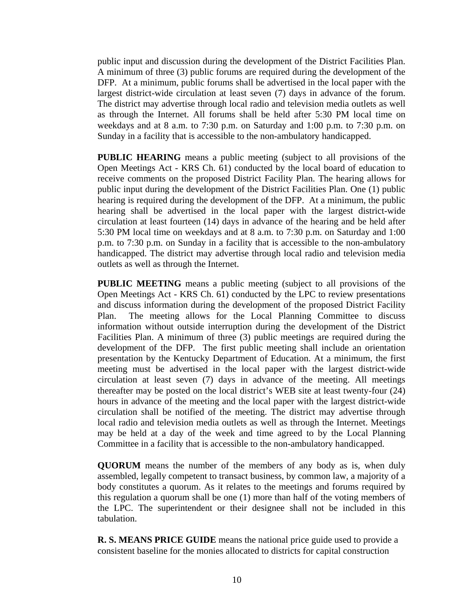public input and discussion during the development of the District Facilities Plan. A minimum of three (3) public forums are required during the development of the DFP. At a minimum, public forums shall be advertised in the local paper with the largest district-wide circulation at least seven (7) days in advance of the forum. The district may advertise through local radio and television media outlets as well as through the Internet. All forums shall be held after 5:30 PM local time on weekdays and at 8 a.m. to 7:30 p.m. on Saturday and 1:00 p.m. to 7:30 p.m. on Sunday in a facility that is accessible to the non-ambulatory handicapped.

**PUBLIC HEARING** means a public meeting (subject to all provisions of the Open Meetings Act - KRS Ch. 61) conducted by the local board of education to receive comments on the proposed District Facility Plan. The hearing allows for public input during the development of the District Facilities Plan. One (1) public hearing is required during the development of the DFP. At a minimum, the public hearing shall be advertised in the local paper with the largest district-wide circulation at least fourteen (14) days in advance of the hearing and be held after 5:30 PM local time on weekdays and at 8 a.m. to 7:30 p.m. on Saturday and 1:00 p.m. to 7:30 p.m. on Sunday in a facility that is accessible to the non-ambulatory handicapped. The district may advertise through local radio and television media outlets as well as through the Internet.

**PUBLIC MEETING** means a public meeting (subject to all provisions of the Open Meetings Act - KRS Ch. 61) conducted by the LPC to review presentations and discuss information during the development of the proposed District Facility Plan. The meeting allows for the Local Planning Committee to discuss information without outside interruption during the development of the District Facilities Plan. A minimum of three (3) public meetings are required during the development of the DFP. The first public meeting shall include an orientation presentation by the Kentucky Department of Education. At a minimum, the first meeting must be advertised in the local paper with the largest district-wide circulation at least seven (7) days in advance of the meeting. All meetings thereafter may be posted on the local district's WEB site at least twenty-four (24) hours in advance of the meeting and the local paper with the largest district-wide circulation shall be notified of the meeting. The district may advertise through local radio and television media outlets as well as through the Internet. Meetings may be held at a day of the week and time agreed to by the Local Planning Committee in a facility that is accessible to the non-ambulatory handicapped.

**QUORUM** means the number of the members of any body as is, when duly assembled, legally competent to transact business, by common law, a majority of a body constitutes a quorum. As it relates to the meetings and forums required by this regulation a quorum shall be one (1) more than half of the voting members of the LPC. The superintendent or their designee shall not be included in this tabulation.

**R. S. MEANS PRICE GUIDE** means the national price guide used to provide a consistent baseline for the monies allocated to districts for capital construction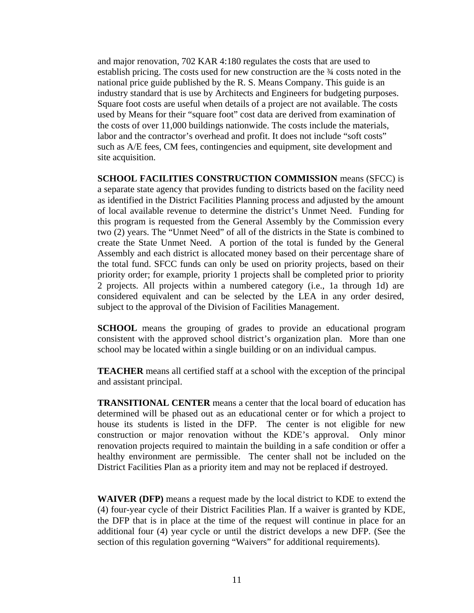and major renovation, 702 KAR 4:180 regulates the costs that are used to establish pricing. The costs used for new construction are the ¾ costs noted in the national price guide published by the R. S. Means Company. This guide is an industry standard that is use by Architects and Engineers for budgeting purposes. Square foot costs are useful when details of a project are not available. The costs used by Means for their "square foot" cost data are derived from examination of the costs of over 11,000 buildings nationwide. The costs include the materials, labor and the contractor's overhead and profit. It does not include "soft costs" such as A/E fees, CM fees, contingencies and equipment, site development and site acquisition.

**SCHOOL FACILITIES CONSTRUCTION COMMISSION** means (SFCC) is a separate state agency that provides funding to districts based on the facility need as identified in the District Facilities Planning process and adjusted by the amount of local available revenue to determine the district's Unmet Need. Funding for this program is requested from the General Assembly by the Commission every two (2) years. The "Unmet Need" of all of the districts in the State is combined to create the State Unmet Need. A portion of the total is funded by the General Assembly and each district is allocated money based on their percentage share of the total fund. SFCC funds can only be used on priority projects, based on their priority order; for example, priority 1 projects shall be completed prior to priority 2 projects. All projects within a numbered category (i.e., 1a through 1d) are considered equivalent and can be selected by the LEA in any order desired, subject to the approval of the Division of Facilities Management.

**SCHOOL** means the grouping of grades to provide an educational program consistent with the approved school district's organization plan. More than one school may be located within a single building or on an individual campus.

**TEACHER** means all certified staff at a school with the exception of the principal and assistant principal.

**TRANSITIONAL CENTER** means a center that the local board of education has determined will be phased out as an educational center or for which a project to house its students is listed in the DFP. The center is not eligible for new construction or major renovation without the KDE's approval. Only minor renovation projects required to maintain the building in a safe condition or offer a healthy environment are permissible. The center shall not be included on the District Facilities Plan as a priority item and may not be replaced if destroyed.

**WAIVER (DFP)** means a request made by the local district to KDE to extend the (4) four-year cycle of their District Facilities Plan. If a waiver is granted by KDE, the DFP that is in place at the time of the request will continue in place for an additional four (4) year cycle or until the district develops a new DFP. (See the section of this regulation governing "Waivers" for additional requirements).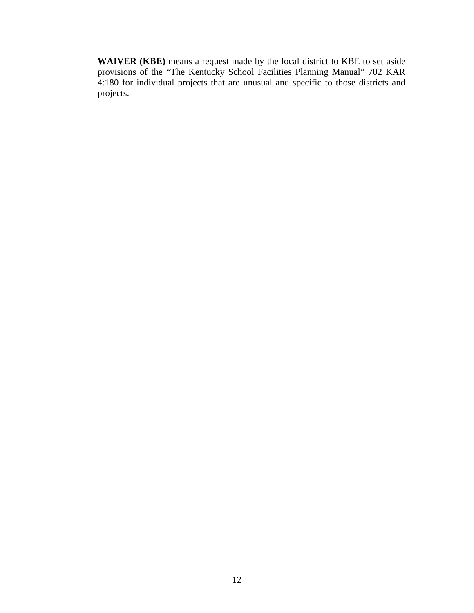**WAIVER (KBE)** means a request made by the local district to KBE to set aside provisions of the "The Kentucky School Facilities Planning Manual" 702 KAR 4:180 for individual projects that are unusual and specific to those districts and projects.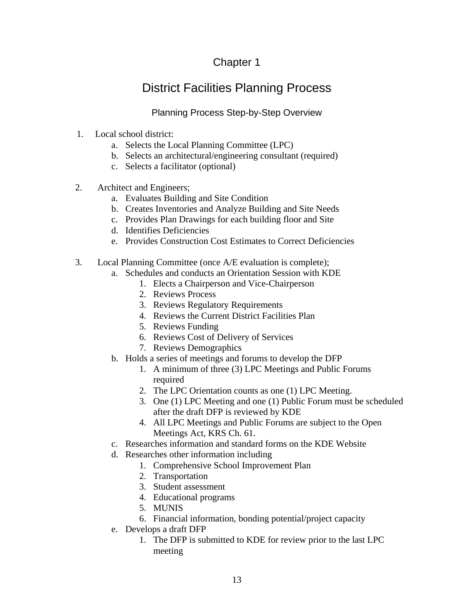# Chapter 1

# District Facilities Planning Process

### Planning Process Step-by-Step Overview

- 1. Local school district:
	- a. Selects the Local Planning Committee (LPC)
	- b. Selects an architectural/engineering consultant (required)
	- c. Selects a facilitator (optional)
- 2. Architect and Engineers;
	- a. Evaluates Building and Site Condition
	- b. Creates Inventories and Analyze Building and Site Needs
	- c. Provides Plan Drawings for each building floor and Site
	- d. Identifies Deficiencies
	- e. Provides Construction Cost Estimates to Correct Deficiencies
- 3. Local Planning Committee (once A/E evaluation is complete);
	- a. Schedules and conducts an Orientation Session with KDE
		- 1. Elects a Chairperson and Vice-Chairperson
		- 2. Reviews Process
		- 3. Reviews Regulatory Requirements
		- 4. Reviews the Current District Facilities Plan
		- 5. Reviews Funding
		- 6. Reviews Cost of Delivery of Services
		- 7. Reviews Demographics
	- b. Holds a series of meetings and forums to develop the DFP
		- 1. A minimum of three (3) LPC Meetings and Public Forums required
		- 2. The LPC Orientation counts as one (1) LPC Meeting.
		- 3. One (1) LPC Meeting and one (1) Public Forum must be scheduled after the draft DFP is reviewed by KDE
		- 4. All LPC Meetings and Public Forums are subject to the Open Meetings Act, KRS Ch. 61.
	- c. Researches information and standard forms on the KDE Website
	- d. Researches other information including
		- 1. Comprehensive School Improvement Plan
		- 2. Transportation
		- 3. Student assessment
		- 4. Educational programs
		- 5. MUNIS
		- 6. Financial information, bonding potential/project capacity
	- e. Develops a draft DFP
		- 1. The DFP is submitted to KDE for review prior to the last LPC meeting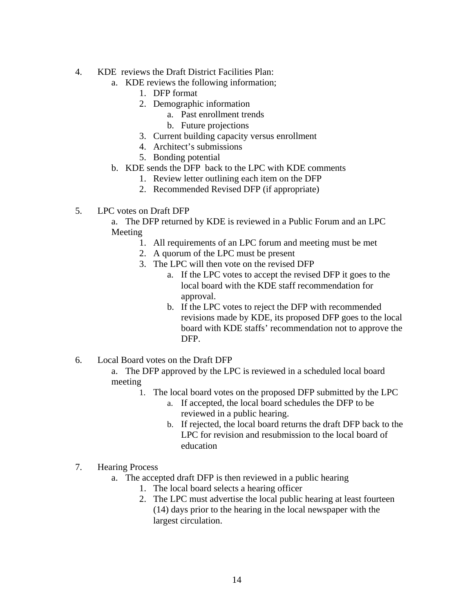- 4. KDE reviews the Draft District Facilities Plan:
	- a. KDE reviews the following information;
		- 1. DFP format
		- 2. Demographic information
			- a. Past enrollment trends
			- b. Future projections
		- 3. Current building capacity versus enrollment
		- 4. Architect's submissions
		- 5. Bonding potential
	- b. KDE sends the DFP back to the LPC with KDE comments
		- 1. Review letter outlining each item on the DFP
		- 2. Recommended Revised DFP (if appropriate)
- 5. LPC votes on Draft DFP

a. The DFP returned by KDE is reviewed in a Public Forum and an LPC Meeting

- 1. All requirements of an LPC forum and meeting must be met
- 2. A quorum of the LPC must be present
- 3. The LPC will then vote on the revised DFP
	- a. If the LPC votes to accept the revised DFP it goes to the local board with the KDE staff recommendation for approval.
	- b. If the LPC votes to reject the DFP with recommended revisions made by KDE, its proposed DFP goes to the local board with KDE staffs' recommendation not to approve the DFP.
- 6. Local Board votes on the Draft DFP

a. The DFP approved by the LPC is reviewed in a scheduled local board meeting

- 1. The local board votes on the proposed DFP submitted by the LPC
	- a. If accepted, the local board schedules the DFP to be reviewed in a public hearing.
	- b. If rejected, the local board returns the draft DFP back to the LPC for revision and resubmission to the local board of education
- 7. Hearing Process
	- a. The accepted draft DFP is then reviewed in a public hearing
		- 1. The local board selects a hearing officer
		- 2. The LPC must advertise the local public hearing at least fourteen (14) days prior to the hearing in the local newspaper with the largest circulation.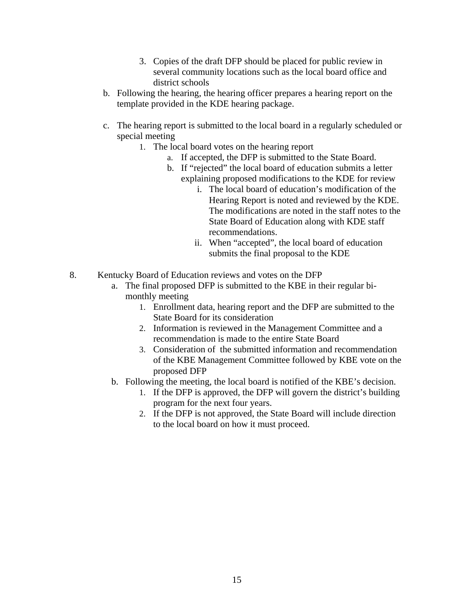- 3. Copies of the draft DFP should be placed for public review in several community locations such as the local board office and district schools
- b. Following the hearing, the hearing officer prepares a hearing report on the template provided in the KDE hearing package.
- c. The hearing report is submitted to the local board in a regularly scheduled or special meeting
	- 1. The local board votes on the hearing report
		- a. If accepted, the DFP is submitted to the State Board.
		- b. If "rejected" the local board of education submits a letter explaining proposed modifications to the KDE for review
			- i. The local board of education's modification of the Hearing Report is noted and reviewed by the KDE. The modifications are noted in the staff notes to the State Board of Education along with KDE staff recommendations.
			- ii. When "accepted", the local board of education submits the final proposal to the KDE
- 8. Kentucky Board of Education reviews and votes on the DFP
	- a. The final proposed DFP is submitted to the KBE in their regular bimonthly meeting
		- 1. Enrollment data, hearing report and the DFP are submitted to the State Board for its consideration
		- 2. Information is reviewed in the Management Committee and a recommendation is made to the entire State Board
		- 3. Consideration of the submitted information and recommendation of the KBE Management Committee followed by KBE vote on the proposed DFP
	- b. Following the meeting, the local board is notified of the KBE's decision.
		- 1. If the DFP is approved, the DFP will govern the district's building program for the next four years.
		- 2. If the DFP is not approved, the State Board will include direction to the local board on how it must proceed.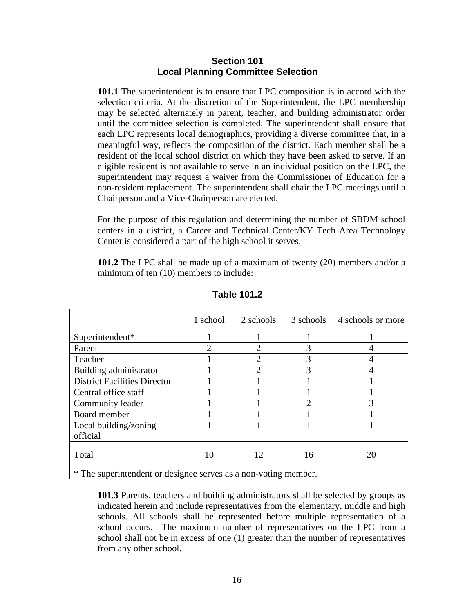#### **Section 101 Local Planning Committee Selection**

**101.1** The superintendent is to ensure that LPC composition is in accord with the selection criteria. At the discretion of the Superintendent, the LPC membership may be selected alternately in parent, teacher, and building administrator order until the committee selection is completed. The superintendent shall ensure that each LPC represents local demographics, providing a diverse committee that, in a meaningful way, reflects the composition of the district. Each member shall be a resident of the local school district on which they have been asked to serve. If an eligible resident is not available to serve in an individual position on the LPC, the superintendent may request a waiver from the Commissioner of Education for a non-resident replacement. The superintendent shall chair the LPC meetings until a Chairperson and a Vice-Chairperson are elected.

For the purpose of this regulation and determining the number of SBDM school centers in a district, a Career and Technical Center/KY Tech Area Technology Center is considered a part of the high school it serves.

**101.2** The LPC shall be made up of a maximum of twenty (20) members and/or a minimum of ten (10) members to include:

|                                                               | 1 school       | 2 schools             | 3 schools      | 4 schools or more |
|---------------------------------------------------------------|----------------|-----------------------|----------------|-------------------|
| Superintendent*                                               |                |                       |                |                   |
| Parent                                                        | $\mathfrak{D}$ | $\mathcal{D}_{\cdot}$ | 3              | 4                 |
| Teacher                                                       |                | 2                     | 3              | 4                 |
| Building administrator                                        |                | $\mathcal{D}$         | 3              | 4                 |
| <b>District Facilities Director</b>                           |                |                       |                |                   |
| Central office staff                                          |                |                       |                |                   |
| Community leader                                              |                |                       | $\overline{2}$ | 3                 |
| Board member                                                  |                |                       |                |                   |
| Local building/zoning                                         |                |                       |                |                   |
| official                                                      |                |                       |                |                   |
| Total                                                         | 10             | 12                    | 16             | 20                |
| * The sympator dark or designed serves as a non-voting mamber |                |                       |                |                   |

**Table 101.2** 

The superintendent or designee serves as a non-voting member.

**101.3** Parents, teachers and building administrators shall be selected by groups as indicated herein and include representatives from the elementary, middle and high schools. All schools shall be represented before multiple representation of a school occurs. The maximum number of representatives on the LPC from a school shall not be in excess of one (1) greater than the number of representatives from any other school.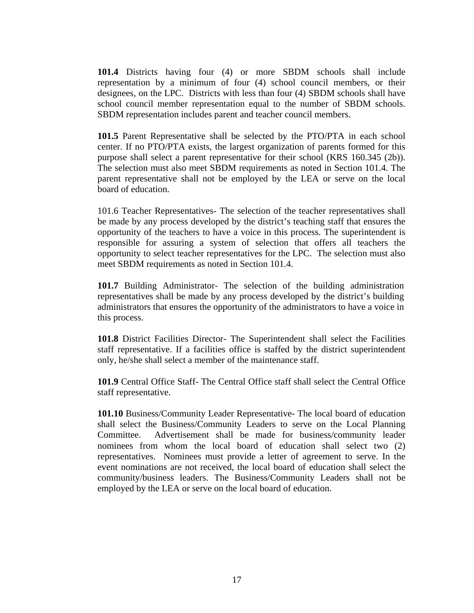**101.4** Districts having four (4) or more SBDM schools shall include representation by a minimum of four (4) school council members, or their designees, on the LPC. Districts with less than four (4) SBDM schools shall have school council member representation equal to the number of SBDM schools. SBDM representation includes parent and teacher council members.

**101.5** Parent Representative shall be selected by the PTO/PTA in each school center. If no PTO/PTA exists, the largest organization of parents formed for this purpose shall select a parent representative for their school (KRS 160.345 (2b)). The selection must also meet SBDM requirements as noted in Section 101.4. The parent representative shall not be employed by the LEA or serve on the local board of education.

101.6 Teacher Representatives- The selection of the teacher representatives shall be made by any process developed by the district's teaching staff that ensures the opportunity of the teachers to have a voice in this process. The superintendent is responsible for assuring a system of selection that offers all teachers the opportunity to select teacher representatives for the LPC. The selection must also meet SBDM requirements as noted in Section 101.4.

**101.7** Building Administrator- The selection of the building administration representatives shall be made by any process developed by the district's building administrators that ensures the opportunity of the administrators to have a voice in this process.

**101.8** District Facilities Director- The Superintendent shall select the Facilities staff representative. If a facilities office is staffed by the district superintendent only, he/she shall select a member of the maintenance staff.

**101.9** Central Office Staff- The Central Office staff shall select the Central Office staff representative.

**101.10** Business/Community Leader Representative- The local board of education shall select the Business/Community Leaders to serve on the Local Planning Committee. Advertisement shall be made for business/community leader nominees from whom the local board of education shall select two (2) representatives. Nominees must provide a letter of agreement to serve. In the event nominations are not received, the local board of education shall select the community/business leaders. The Business/Community Leaders shall not be employed by the LEA or serve on the local board of education.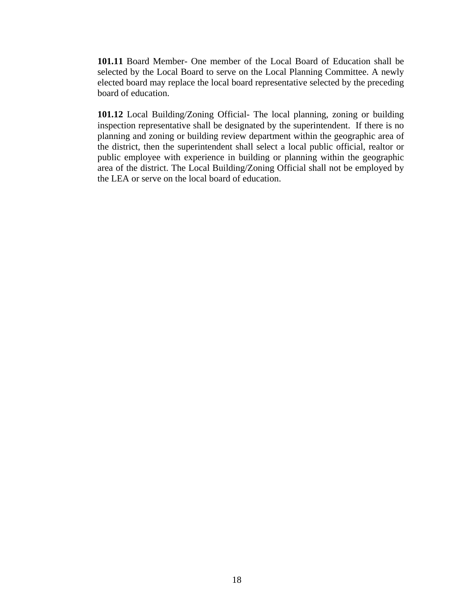**101.11** Board Member- One member of the Local Board of Education shall be selected by the Local Board to serve on the Local Planning Committee. A newly elected board may replace the local board representative selected by the preceding board of education.

**101.12** Local Building/Zoning Official- The local planning, zoning or building inspection representative shall be designated by the superintendent. If there is no planning and zoning or building review department within the geographic area of the district, then the superintendent shall select a local public official, realtor or public employee with experience in building or planning within the geographic area of the district. The Local Building/Zoning Official shall not be employed by the LEA or serve on the local board of education.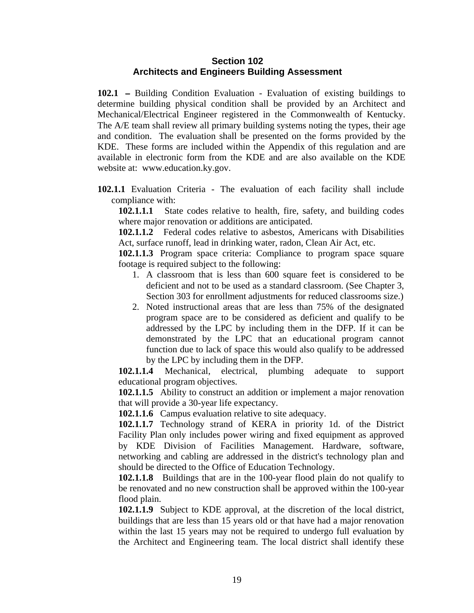#### **Section 102 Architects and Engineers Building Assessment**

**102.1 –** Building Condition Evaluation - Evaluation of existing buildings to determine building physical condition shall be provided by an Architect and Mechanical/Electrical Engineer registered in the Commonwealth of Kentucky. The A/E team shall review all primary building systems noting the types, their age and condition. The evaluation shall be presented on the forms provided by the KDE. These forms are included within the Appendix of this regulation and are available in electronic form from the KDE and are also available on the KDE website at: www.education.ky.gov.

**102.1.1** Evaluation Criteria - The evaluation of each facility shall include compliance with:

**102.1.1.1** State codes relative to health, fire, safety, and building codes where major renovation or additions are anticipated.

**102.1.1.2** Federal codes relative to asbestos, Americans with Disabilities Act, surface runoff, lead in drinking water, radon, Clean Air Act, etc.

**102.1.1.3** Program space criteria: Compliance to program space square footage is required subject to the following:

- 1. A classroom that is less than 600 square feet is considered to be deficient and not to be used as a standard classroom. (See Chapter 3, Section 303 for enrollment adjustments for reduced classrooms size.)
- 2. Noted instructional areas that are less than 75% of the designated program space are to be considered as deficient and qualify to be addressed by the LPC by including them in the DFP. If it can be demonstrated by the LPC that an educational program cannot function due to lack of space this would also qualify to be addressed by the LPC by including them in the DFP.

**102.1.1.4** Mechanical, electrical, plumbing adequate to support educational program objectives.

**102.1.1.5** Ability to construct an addition or implement a major renovation that will provide a 30-year life expectancy.

**102.1.1.6** Campus evaluation relative to site adequacy.

**102.1.1.7** Technology strand of KERA in priority 1d. of the District Facility Plan only includes power wiring and fixed equipment as approved by KDE Division of Facilities Management. Hardware, software, networking and cabling are addressed in the district's technology plan and should be directed to the Office of Education Technology.

**102.1.1.8** Buildings that are in the 100-year flood plain do not qualify to be renovated and no new construction shall be approved within the 100-year flood plain.

**102.1.1.9** Subject to KDE approval, at the discretion of the local district, buildings that are less than 15 years old or that have had a major renovation within the last 15 years may not be required to undergo full evaluation by the Architect and Engineering team. The local district shall identify these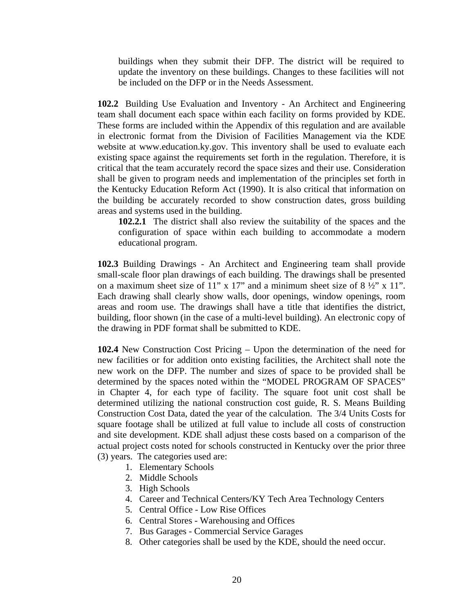buildings when they submit their DFP. The district will be required to update the inventory on these buildings. Changes to these facilities will not be included on the DFP or in the Needs Assessment.

**102.2** Building Use Evaluation and Inventory - An Architect and Engineering team shall document each space within each facility on forms provided by KDE. These forms are included within the Appendix of this regulation and are available in electronic format from the Division of Facilities Management via the KDE website at www.education.ky.gov. This inventory shall be used to evaluate each existing space against the requirements set forth in the regulation. Therefore, it is critical that the team accurately record the space sizes and their use. Consideration shall be given to program needs and implementation of the principles set forth in the Kentucky Education Reform Act (1990). It is also critical that information on the building be accurately recorded to show construction dates, gross building areas and systems used in the building.

**102.2.1** The district shall also review the suitability of the spaces and the configuration of space within each building to accommodate a modern educational program.

**102.3** Building Drawings - An Architect and Engineering team shall provide small-scale floor plan drawings of each building. The drawings shall be presented on a maximum sheet size of 11" x 17" and a minimum sheet size of  $8\frac{1}{2}$ " x 11". Each drawing shall clearly show walls, door openings, window openings, room areas and room use. The drawings shall have a title that identifies the district, building, floor shown (in the case of a multi-level building). An electronic copy of the drawing in PDF format shall be submitted to KDE.

**102.4** New Construction Cost Pricing – Upon the determination of the need for new facilities or for addition onto existing facilities, the Architect shall note the new work on the DFP. The number and sizes of space to be provided shall be determined by the spaces noted within the "MODEL PROGRAM OF SPACES" in Chapter 4, for each type of facility. The square foot unit cost shall be determined utilizing the national construction cost guide, R. S. Means Building Construction Cost Data, dated the year of the calculation. The 3/4 Units Costs for square footage shall be utilized at full value to include all costs of construction and site development. KDE shall adjust these costs based on a comparison of the actual project costs noted for schools constructed in Kentucky over the prior three (3) years. The categories used are:

- 1. Elementary Schools
- 2. Middle Schools
- 3. High Schools
- 4. Career and Technical Centers/KY Tech Area Technology Centers
- 5. Central Office Low Rise Offices
- 6. Central Stores Warehousing and Offices
- 7. Bus Garages Commercial Service Garages
- 8. Other categories shall be used by the KDE, should the need occur.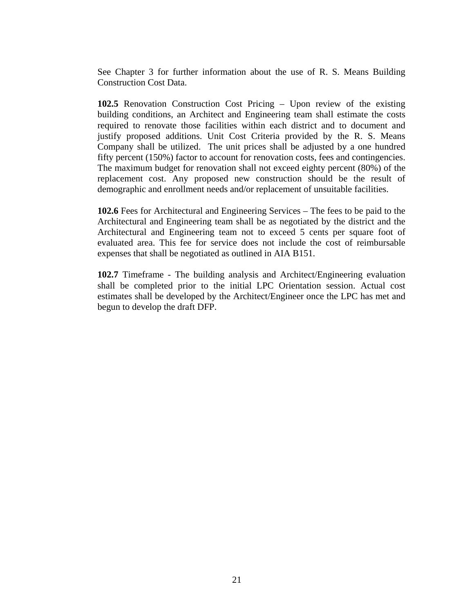See Chapter 3 for further information about the use of R. S. Means Building Construction Cost Data.

**102.5** Renovation Construction Cost Pricing – Upon review of the existing building conditions, an Architect and Engineering team shall estimate the costs required to renovate those facilities within each district and to document and justify proposed additions. Unit Cost Criteria provided by the R. S. Means Company shall be utilized. The unit prices shall be adjusted by a one hundred fifty percent (150%) factor to account for renovation costs, fees and contingencies. The maximum budget for renovation shall not exceed eighty percent (80%) of the replacement cost. Any proposed new construction should be the result of demographic and enrollment needs and/or replacement of unsuitable facilities.

**102.6** Fees for Architectural and Engineering Services – The fees to be paid to the Architectural and Engineering team shall be as negotiated by the district and the Architectural and Engineering team not to exceed 5 cents per square foot of evaluated area. This fee for service does not include the cost of reimbursable expenses that shall be negotiated as outlined in AIA B151.

**102.7** Timeframe - The building analysis and Architect/Engineering evaluation shall be completed prior to the initial LPC Orientation session. Actual cost estimates shall be developed by the Architect/Engineer once the LPC has met and begun to develop the draft DFP.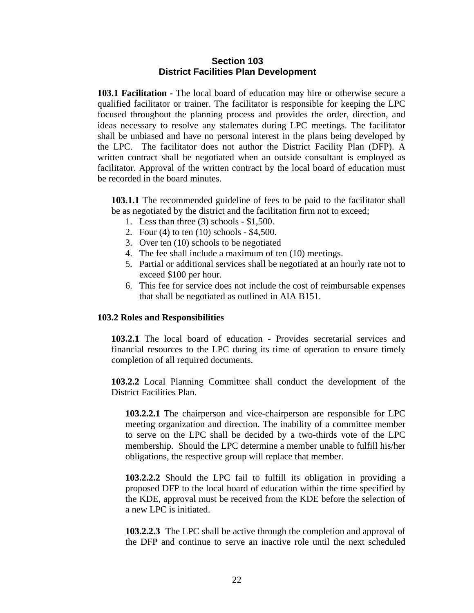#### **Section 103 District Facilities Plan Development**

**103.1 Facilitation -** The local board of education may hire or otherwise secure a qualified facilitator or trainer. The facilitator is responsible for keeping the LPC focused throughout the planning process and provides the order, direction, and ideas necessary to resolve any stalemates during LPC meetings. The facilitator shall be unbiased and have no personal interest in the plans being developed by the LPC. The facilitator does not author the District Facility Plan (DFP). A written contract shall be negotiated when an outside consultant is employed as facilitator. Approval of the written contract by the local board of education must be recorded in the board minutes.

**103.1.1** The recommended guideline of fees to be paid to the facilitator shall be as negotiated by the district and the facilitation firm not to exceed;

- 1. Less than three (3) schools \$1,500.
- 2. Four (4) to ten (10) schools \$4,500.
- 3. Over ten (10) schools to be negotiated
- 4. The fee shall include a maximum of ten (10) meetings.
- 5. Partial or additional services shall be negotiated at an hourly rate not to exceed \$100 per hour.
- 6. This fee for service does not include the cost of reimbursable expenses that shall be negotiated as outlined in AIA B151.

#### **103.2 Roles and Responsibilities**

**103.2.1** The local board of education - Provides secretarial services and financial resources to the LPC during its time of operation to ensure timely completion of all required documents.

**103.2.2** Local Planning Committee shall conduct the development of the District Facilities Plan.

**103.2.2.1** The chairperson and vice-chairperson are responsible for LPC meeting organization and direction. The inability of a committee member to serve on the LPC shall be decided by a two-thirds vote of the LPC membership. Should the LPC determine a member unable to fulfill his/her obligations, the respective group will replace that member.

**103.2.2.2** Should the LPC fail to fulfill its obligation in providing a proposed DFP to the local board of education within the time specified by the KDE, approval must be received from the KDE before the selection of a new LPC is initiated.

**103.2.2.3** The LPC shall be active through the completion and approval of the DFP and continue to serve an inactive role until the next scheduled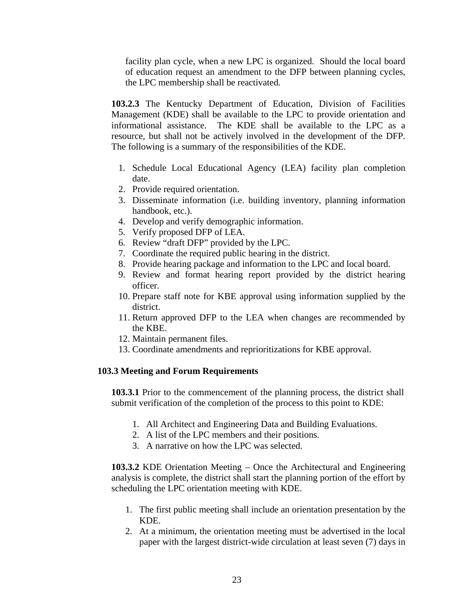facility plan cycle, when a new LPC is organized. Should the local board of education request an amendment to the DFP between planning cycles, the LPC membership shall be reactivated.

**103.2.3** The Kentucky Department of Education, Division of Facilities Management (KDE) shall be available to the LPC to provide orientation and informational assistance. The KDE shall be available to the LPC as a resource, but shall not be actively involved in the development of the DFP. The following is a summary of the responsibilities of the KDE.

- 1. Schedule Local Educational Agency (LEA) facility plan completion date.
- 2. Provide required orientation.
- 3. Disseminate information (i.e. building inventory, planning information handbook, etc.).
- 4. Develop and verify demographic information.
- 5. Verify proposed DFP of LEA.
- 6. Review "draft DFP" provided by the LPC.
- 7. Coordinate the required public hearing in the district.
- 8. Provide hearing package and information to the LPC and local board.
- 9. Review and format hearing report provided by the district hearing officer.
- 10. Prepare staff note for KBE approval using information supplied by the district.
- 11. Return approved DFP to the LEA when changes are recommended by the KBE.
- 12. Maintain permanent files.
- 13. Coordinate amendments and reprioritizations for KBE approval.

#### **103.3 Meeting and Forum Requirements**

**103.3.1** Prior to the commencement of the planning process, the district shall submit verification of the completion of the process to this point to KDE:

- 1. All Architect and Engineering Data and Building Evaluations.
- 2. A list of the LPC members and their positions.
- 3. A narrative on how the LPC was selected.

**103.3.2** KDE Orientation Meeting – Once the Architectural and Engineering analysis is complete, the district shall start the planning portion of the effort by scheduling the LPC orientation meeting with KDE.

- 1. The first public meeting shall include an orientation presentation by the KDE.
- 2. At a minimum, the orientation meeting must be advertised in the local paper with the largest district-wide circulation at least seven (7) days in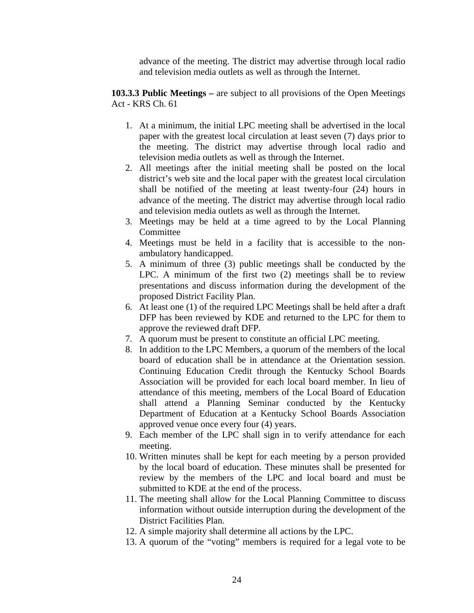advance of the meeting. The district may advertise through local radio and television media outlets as well as through the Internet.

**103.3.3 Public Meetings –** are subject to all provisions of the Open Meetings Act - KRS Ch. 61

- 1. At a minimum, the initial LPC meeting shall be advertised in the local paper with the greatest local circulation at least seven (7) days prior to the meeting. The district may advertise through local radio and television media outlets as well as through the Internet.
- 2. All meetings after the initial meeting shall be posted on the local district's web site and the local paper with the greatest local circulation shall be notified of the meeting at least twenty-four (24) hours in advance of the meeting. The district may advertise through local radio and television media outlets as well as through the Internet.
- 3. Meetings may be held at a time agreed to by the Local Planning Committee
- 4. Meetings must be held in a facility that is accessible to the nonambulatory handicapped.
- 5. A minimum of three (3) public meetings shall be conducted by the LPC. A minimum of the first two (2) meetings shall be to review presentations and discuss information during the development of the proposed District Facility Plan.
- 6. At least one (1) of the required LPC Meetings shall be held after a draft DFP has been reviewed by KDE and returned to the LPC for them to approve the reviewed draft DFP.
- 7. A quorum must be present to constitute an official LPC meeting.
- 8. In addition to the LPC Members, a quorum of the members of the local board of education shall be in attendance at the Orientation session. Continuing Education Credit through the Kentucky School Boards Association will be provided for each local board member. In lieu of attendance of this meeting, members of the Local Board of Education shall attend a Planning Seminar conducted by the Kentucky Department of Education at a Kentucky School Boards Association approved venue once every four (4) years.
- 9. Each member of the LPC shall sign in to verify attendance for each meeting.
- 10. Written minutes shall be kept for each meeting by a person provided by the local board of education. These minutes shall be presented for review by the members of the LPC and local board and must be submitted to KDE at the end of the process.
- 11. The meeting shall allow for the Local Planning Committee to discuss information without outside interruption during the development of the District Facilities Plan.
- 12. A simple majority shall determine all actions by the LPC.
- 13. A quorum of the "voting" members is required for a legal vote to be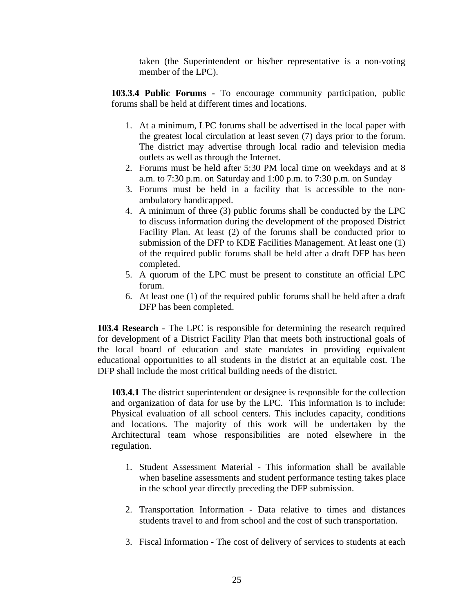taken (the Superintendent or his/her representative is a non-voting member of the LPC).

**103.3.4 Public Forums -** To encourage community participation, public forums shall be held at different times and locations.

- 1. At a minimum, LPC forums shall be advertised in the local paper with the greatest local circulation at least seven (7) days prior to the forum. The district may advertise through local radio and television media outlets as well as through the Internet.
- 2. Forums must be held after 5:30 PM local time on weekdays and at 8 a.m. to 7:30 p.m. on Saturday and 1:00 p.m. to 7:30 p.m. on Sunday
- 3. Forums must be held in a facility that is accessible to the nonambulatory handicapped.
- 4. A minimum of three (3) public forums shall be conducted by the LPC to discuss information during the development of the proposed District Facility Plan. At least (2) of the forums shall be conducted prior to submission of the DFP to KDE Facilities Management. At least one (1) of the required public forums shall be held after a draft DFP has been completed.
- 5. A quorum of the LPC must be present to constitute an official LPC forum.
- 6. At least one (1) of the required public forums shall be held after a draft DFP has been completed.

**103.4 Research** - The LPC is responsible for determining the research required for development of a District Facility Plan that meets both instructional goals of the local board of education and state mandates in providing equivalent educational opportunities to all students in the district at an equitable cost. The DFP shall include the most critical building needs of the district.

**103.4.1** The district superintendent or designee is responsible for the collection and organization of data for use by the LPC. This information is to include: Physical evaluation of all school centers. This includes capacity, conditions and locations. The majority of this work will be undertaken by the Architectural team whose responsibilities are noted elsewhere in the regulation.

- 1. Student Assessment Material This information shall be available when baseline assessments and student performance testing takes place in the school year directly preceding the DFP submission.
- 2. Transportation Information Data relative to times and distances students travel to and from school and the cost of such transportation.
- 3. Fiscal Information The cost of delivery of services to students at each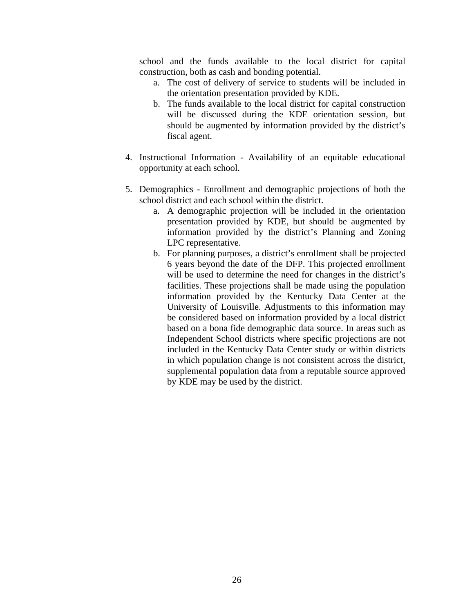school and the funds available to the local district for capital construction, both as cash and bonding potential.

- a. The cost of delivery of service to students will be included in the orientation presentation provided by KDE.
- b. The funds available to the local district for capital construction will be discussed during the KDE orientation session, but should be augmented by information provided by the district's fiscal agent.
- 4. Instructional Information Availability of an equitable educational opportunity at each school.
- 5. Demographics Enrollment and demographic projections of both the school district and each school within the district.
	- a. A demographic projection will be included in the orientation presentation provided by KDE, but should be augmented by information provided by the district's Planning and Zoning LPC representative.
	- b. For planning purposes, a district's enrollment shall be projected 6 years beyond the date of the DFP. This projected enrollment will be used to determine the need for changes in the district's facilities. These projections shall be made using the population information provided by the Kentucky Data Center at the University of Louisville. Adjustments to this information may be considered based on information provided by a local district based on a bona fide demographic data source. In areas such as Independent School districts where specific projections are not included in the Kentucky Data Center study or within districts in which population change is not consistent across the district, supplemental population data from a reputable source approved by KDE may be used by the district.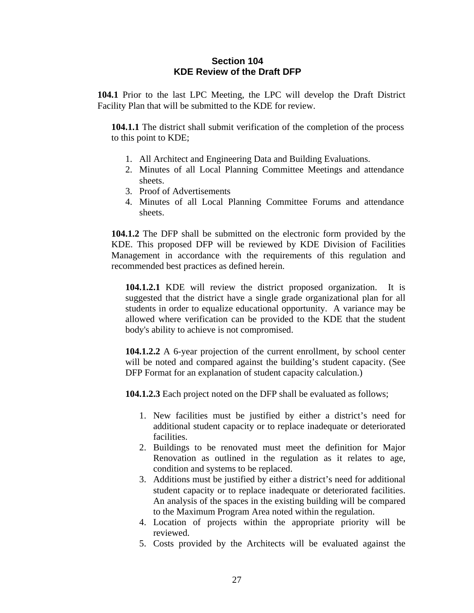#### **Section 104 KDE Review of the Draft DFP**

**104.1** Prior to the last LPC Meeting, the LPC will develop the Draft District Facility Plan that will be submitted to the KDE for review.

**104.1.1** The district shall submit verification of the completion of the process to this point to KDE;

- 1. All Architect and Engineering Data and Building Evaluations.
- 2. Minutes of all Local Planning Committee Meetings and attendance sheets.
- 3. Proof of Advertisements
- 4. Minutes of all Local Planning Committee Forums and attendance sheets.

**104.1.2** The DFP shall be submitted on the electronic form provided by the KDE. This proposed DFP will be reviewed by KDE Division of Facilities Management in accordance with the requirements of this regulation and recommended best practices as defined herein.

**104.1.2.1** KDE will review the district proposed organization. It is suggested that the district have a single grade organizational plan for all students in order to equalize educational opportunity. A variance may be allowed where verification can be provided to the KDE that the student body's ability to achieve is not compromised.

**104.1.2.2** A 6-year projection of the current enrollment, by school center will be noted and compared against the building's student capacity. (See DFP Format for an explanation of student capacity calculation.)

**104.1.2.3** Each project noted on the DFP shall be evaluated as follows;

- 1. New facilities must be justified by either a district's need for additional student capacity or to replace inadequate or deteriorated facilities.
- 2. Buildings to be renovated must meet the definition for Major Renovation as outlined in the regulation as it relates to age, condition and systems to be replaced.
- 3. Additions must be justified by either a district's need for additional student capacity or to replace inadequate or deteriorated facilities. An analysis of the spaces in the existing building will be compared to the Maximum Program Area noted within the regulation.
- 4. Location of projects within the appropriate priority will be reviewed.
- 5. Costs provided by the Architects will be evaluated against the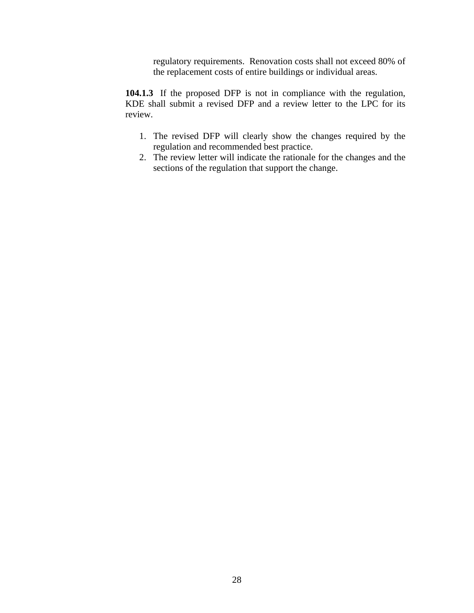regulatory requirements. Renovation costs shall not exceed 80% of the replacement costs of entire buildings or individual areas.

**104.1.3** If the proposed DFP is not in compliance with the regulation, KDE shall submit a revised DFP and a review letter to the LPC for its review.

- 1. The revised DFP will clearly show the changes required by the regulation and recommended best practice.
- 2. The review letter will indicate the rationale for the changes and the sections of the regulation that support the change.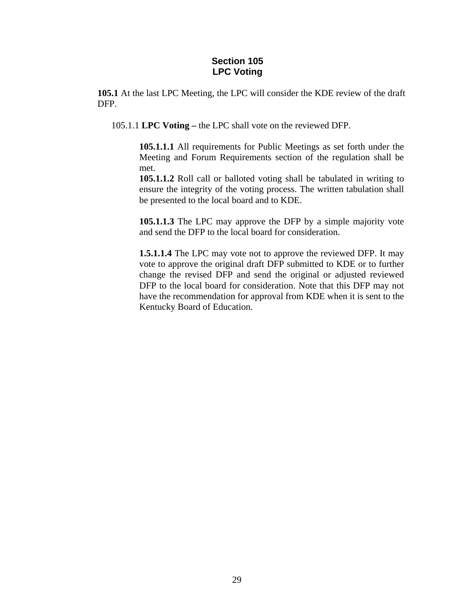#### **Section 105 LPC Voting**

**105.1** At the last LPC Meeting, the LPC will consider the KDE review of the draft DFP.

105.1.1 **LPC Voting –** the LPC shall vote on the reviewed DFP.

**105.1.1.1** All requirements for Public Meetings as set forth under the Meeting and Forum Requirements section of the regulation shall be met.

**105.1.1.2** Roll call or balloted voting shall be tabulated in writing to ensure the integrity of the voting process. The written tabulation shall be presented to the local board and to KDE.

**105.1.1.3** The LPC may approve the DFP by a simple majority vote and send the DFP to the local board for consideration.

**1.5.1.1.4** The LPC may vote not to approve the reviewed DFP. It may vote to approve the original draft DFP submitted to KDE or to further change the revised DFP and send the original or adjusted reviewed DFP to the local board for consideration. Note that this DFP may not have the recommendation for approval from KDE when it is sent to the Kentucky Board of Education.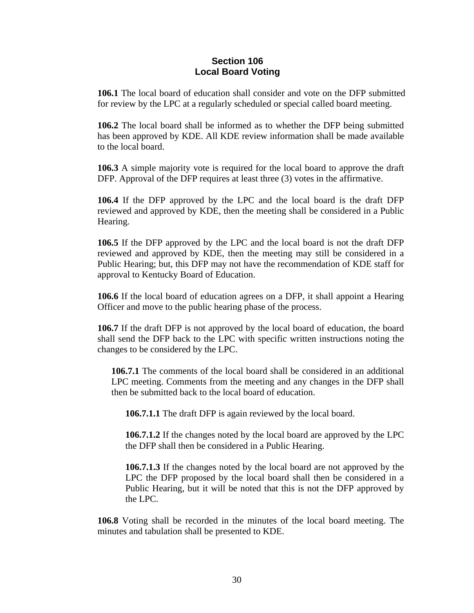#### **Section 106 Local Board Voting**

**106.1** The local board of education shall consider and vote on the DFP submitted for review by the LPC at a regularly scheduled or special called board meeting.

**106.2** The local board shall be informed as to whether the DFP being submitted has been approved by KDE. All KDE review information shall be made available to the local board.

**106.3** A simple majority vote is required for the local board to approve the draft DFP. Approval of the DFP requires at least three (3) votes in the affirmative.

**106.4** If the DFP approved by the LPC and the local board is the draft DFP reviewed and approved by KDE, then the meeting shall be considered in a Public Hearing.

**106.5** If the DFP approved by the LPC and the local board is not the draft DFP reviewed and approved by KDE, then the meeting may still be considered in a Public Hearing; but, this DFP may not have the recommendation of KDE staff for approval to Kentucky Board of Education.

**106.6** If the local board of education agrees on a DFP, it shall appoint a Hearing Officer and move to the public hearing phase of the process.

**106.7** If the draft DFP is not approved by the local board of education, the board shall send the DFP back to the LPC with specific written instructions noting the changes to be considered by the LPC.

**106.7.1** The comments of the local board shall be considered in an additional LPC meeting. Comments from the meeting and any changes in the DFP shall then be submitted back to the local board of education.

**106.7.1.1** The draft DFP is again reviewed by the local board.

**106.7.1.2** If the changes noted by the local board are approved by the LPC the DFP shall then be considered in a Public Hearing.

**106.7.1.3** If the changes noted by the local board are not approved by the LPC the DFP proposed by the local board shall then be considered in a Public Hearing, but it will be noted that this is not the DFP approved by the LPC.

**106.8** Voting shall be recorded in the minutes of the local board meeting. The minutes and tabulation shall be presented to KDE.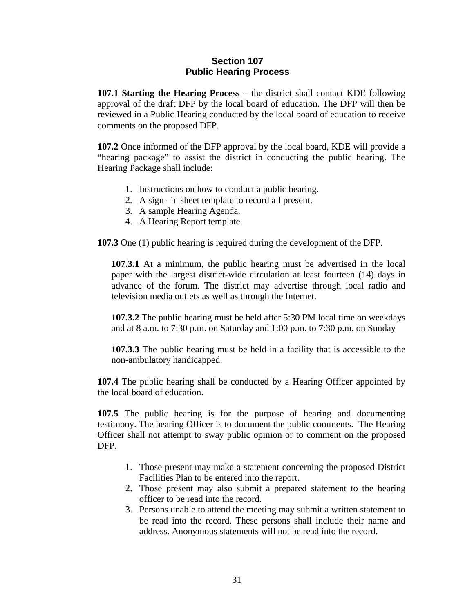#### **Section 107 Public Hearing Process**

**107.1 Starting the Hearing Process –** the district shall contact KDE following approval of the draft DFP by the local board of education. The DFP will then be reviewed in a Public Hearing conducted by the local board of education to receive comments on the proposed DFP.

**107.2** Once informed of the DFP approval by the local board, KDE will provide a "hearing package" to assist the district in conducting the public hearing. The Hearing Package shall include:

- 1. Instructions on how to conduct a public hearing.
- 2. A sign –in sheet template to record all present.
- 3. A sample Hearing Agenda.
- 4. A Hearing Report template.

**107.3** One (1) public hearing is required during the development of the DFP.

**107.3.1** At a minimum, the public hearing must be advertised in the local paper with the largest district-wide circulation at least fourteen (14) days in advance of the forum. The district may advertise through local radio and television media outlets as well as through the Internet.

**107.3.2** The public hearing must be held after 5:30 PM local time on weekdays and at 8 a.m. to 7:30 p.m. on Saturday and 1:00 p.m. to 7:30 p.m. on Sunday

**107.3.3** The public hearing must be held in a facility that is accessible to the non-ambulatory handicapped.

**107.4** The public hearing shall be conducted by a Hearing Officer appointed by the local board of education.

**107.5** The public hearing is for the purpose of hearing and documenting testimony. The hearing Officer is to document the public comments. The Hearing Officer shall not attempt to sway public opinion or to comment on the proposed DFP.

- 1. Those present may make a statement concerning the proposed District Facilities Plan to be entered into the report.
- 2. Those present may also submit a prepared statement to the hearing officer to be read into the record.
- 3. Persons unable to attend the meeting may submit a written statement to be read into the record. These persons shall include their name and address. Anonymous statements will not be read into the record.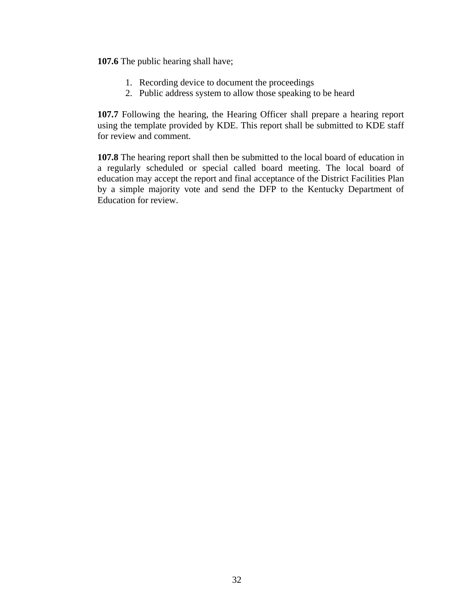**107.6** The public hearing shall have;

- 1. Recording device to document the proceedings
- 2. Public address system to allow those speaking to be heard

**107.7** Following the hearing, the Hearing Officer shall prepare a hearing report using the template provided by KDE. This report shall be submitted to KDE staff for review and comment.

**107.8** The hearing report shall then be submitted to the local board of education in a regularly scheduled or special called board meeting. The local board of education may accept the report and final acceptance of the District Facilities Plan by a simple majority vote and send the DFP to the Kentucky Department of Education for review.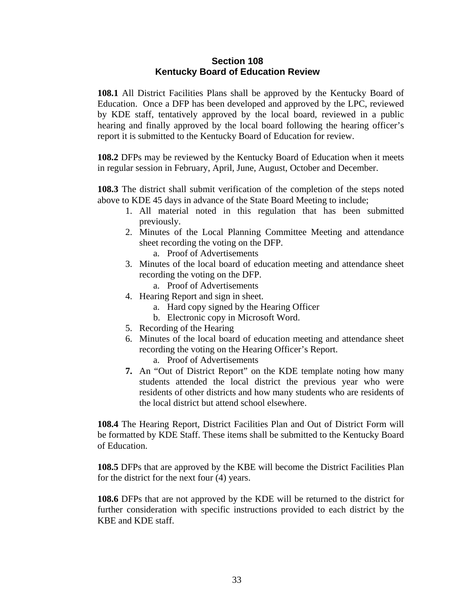#### **Section 108 Kentucky Board of Education Review**

**108.1** All District Facilities Plans shall be approved by the Kentucky Board of Education. Once a DFP has been developed and approved by the LPC, reviewed by KDE staff, tentatively approved by the local board, reviewed in a public hearing and finally approved by the local board following the hearing officer's report it is submitted to the Kentucky Board of Education for review.

**108.2** DFPs may be reviewed by the Kentucky Board of Education when it meets in regular session in February, April, June, August, October and December.

**108.3** The district shall submit verification of the completion of the steps noted above to KDE 45 days in advance of the State Board Meeting to include;

- 1. All material noted in this regulation that has been submitted previously.
- 2. Minutes of the Local Planning Committee Meeting and attendance sheet recording the voting on the DFP.

a. Proof of Advertisements

- 3. Minutes of the local board of education meeting and attendance sheet recording the voting on the DFP.
	- a. Proof of Advertisements
- 4. Hearing Report and sign in sheet.
	- a. Hard copy signed by the Hearing Officer
	- b. Electronic copy in Microsoft Word.
- 5. Recording of the Hearing
- 6. Minutes of the local board of education meeting and attendance sheet recording the voting on the Hearing Officer's Report.
	- a. Proof of Advertisements
- **7.** An "Out of District Report" on the KDE template noting how many students attended the local district the previous year who were residents of other districts and how many students who are residents of the local district but attend school elsewhere.

**108.4** The Hearing Report, District Facilities Plan and Out of District Form will be formatted by KDE Staff. These items shall be submitted to the Kentucky Board of Education.

**108.5** DFPs that are approved by the KBE will become the District Facilities Plan for the district for the next four (4) years.

**108.6** DFPs that are not approved by the KDE will be returned to the district for further consideration with specific instructions provided to each district by the KBE and KDE staff.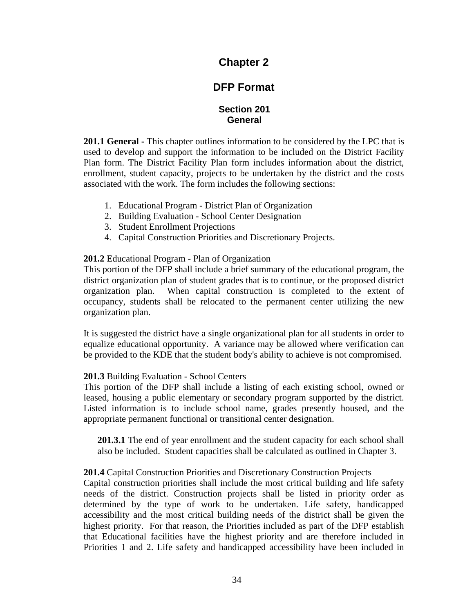## **Chapter 2**

# **DFP Format**

#### **Section 201 General**

**201.1 General -** This chapter outlines information to be considered by the LPC that is used to develop and support the information to be included on the District Facility Plan form. The District Facility Plan form includes information about the district, enrollment, student capacity, projects to be undertaken by the district and the costs associated with the work. The form includes the following sections:

- 1. Educational Program District Plan of Organization
- 2. Building Evaluation School Center Designation
- 3. Student Enrollment Projections
- 4. Capital Construction Priorities and Discretionary Projects.

#### **201.2** Educational Program - Plan of Organization

This portion of the DFP shall include a brief summary of the educational program, the district organization plan of student grades that is to continue, or the proposed district organization plan. When capital construction is completed to the extent of occupancy, students shall be relocated to the permanent center utilizing the new organization plan.

It is suggested the district have a single organizational plan for all students in order to equalize educational opportunity. A variance may be allowed where verification can be provided to the KDE that the student body's ability to achieve is not compromised.

#### **201.3** Building Evaluation - School Centers

This portion of the DFP shall include a listing of each existing school, owned or leased, housing a public elementary or secondary program supported by the district. Listed information is to include school name, grades presently housed, and the appropriate permanent functional or transitional center designation.

**201.3.1** The end of year enrollment and the student capacity for each school shall also be included. Student capacities shall be calculated as outlined in Chapter 3.

#### **201.4** Capital Construction Priorities and Discretionary Construction Projects

Capital construction priorities shall include the most critical building and life safety needs of the district. Construction projects shall be listed in priority order as determined by the type of work to be undertaken. Life safety, handicapped accessibility and the most critical building needs of the district shall be given the highest priority. For that reason, the Priorities included as part of the DFP establish that Educational facilities have the highest priority and are therefore included in Priorities 1 and 2. Life safety and handicapped accessibility have been included in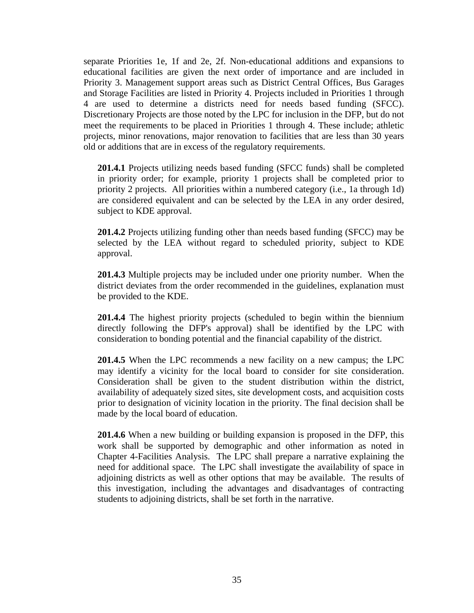separate Priorities 1e, 1f and 2e, 2f. Non-educational additions and expansions to educational facilities are given the next order of importance and are included in Priority 3. Management support areas such as District Central Offices, Bus Garages and Storage Facilities are listed in Priority 4. Projects included in Priorities 1 through 4 are used to determine a districts need for needs based funding (SFCC). Discretionary Projects are those noted by the LPC for inclusion in the DFP, but do not meet the requirements to be placed in Priorities 1 through 4. These include; athletic projects, minor renovations, major renovation to facilities that are less than 30 years old or additions that are in excess of the regulatory requirements.

**201.4.1** Projects utilizing needs based funding (SFCC funds) shall be completed in priority order; for example, priority 1 projects shall be completed prior to priority 2 projects. All priorities within a numbered category (i.e., 1a through 1d) are considered equivalent and can be selected by the LEA in any order desired, subject to KDE approval.

**201.4.2** Projects utilizing funding other than needs based funding (SFCC) may be selected by the LEA without regard to scheduled priority, subject to KDE approval.

**201.4.3** Multiple projects may be included under one priority number. When the district deviates from the order recommended in the guidelines, explanation must be provided to the KDE.

**201.4.4** The highest priority projects (scheduled to begin within the biennium directly following the DFP's approval) shall be identified by the LPC with consideration to bonding potential and the financial capability of the district.

**201.4.5** When the LPC recommends a new facility on a new campus; the LPC may identify a vicinity for the local board to consider for site consideration. Consideration shall be given to the student distribution within the district, availability of adequately sized sites, site development costs, and acquisition costs prior to designation of vicinity location in the priority. The final decision shall be made by the local board of education.

**201.4.6** When a new building or building expansion is proposed in the DFP, this work shall be supported by demographic and other information as noted in Chapter 4-Facilities Analysis. The LPC shall prepare a narrative explaining the need for additional space. The LPC shall investigate the availability of space in adjoining districts as well as other options that may be available. The results of this investigation, including the advantages and disadvantages of contracting students to adjoining districts, shall be set forth in the narrative.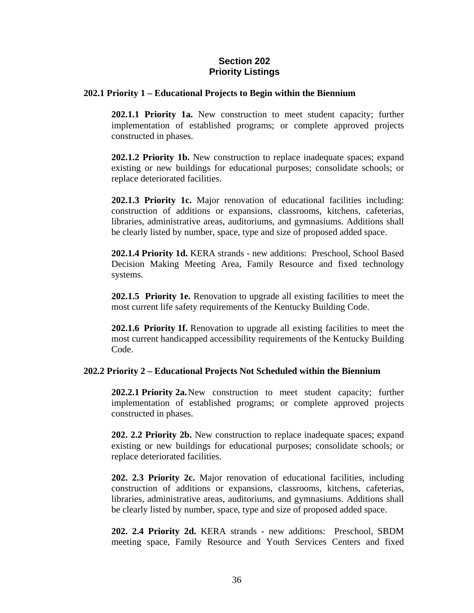#### **Section 202 Priority Listings**

#### **202.1 Priority 1 – Educational Projects to Begin within the Biennium**

 **202.1.1 Priority 1a.** New construction to meet student capacity; further implementation of established programs; or complete approved projects constructed in phases.

 **202.1.2 Priority 1b.** New construction to replace inadequate spaces; expand existing or new buildings for educational purposes; consolidate schools; or replace deteriorated facilities.

 **202.1.3 Priority 1c.** Major renovation of educational facilities including: construction of additions or expansions, classrooms, kitchens, cafeterias, libraries, administrative areas, auditoriums, and gymnasiums. Additions shall be clearly listed by number, space, type and size of proposed added space.

 **202.1.4 Priority 1d.** KERA strands - new additions: Preschool, School Based Decision Making Meeting Area, Family Resource and fixed technology systems.

**202.1.5 Priority 1e.** Renovation to upgrade all existing facilities to meet the most current life safety requirements of the Kentucky Building Code.

**202.1.6 Priority 1f.** Renovation to upgrade all existing facilities to meet the most current handicapped accessibility requirements of the Kentucky Building Code.

#### **202.2 Priority 2 – Educational Projects Not Scheduled within the Biennium**

**202.2.1 Priority 2a.** New construction to meet student capacity; further implementation of established programs; or complete approved projects constructed in phases.

**202. 2.2 Priority 2b.** New construction to replace inadequate spaces; expand existing or new buildings for educational purposes; consolidate schools; or replace deteriorated facilities.

**202. 2.3 Priority 2c.** Major renovation of educational facilities, including construction of additions or expansions, classrooms, kitchens, cafeterias, libraries, administrative areas, auditoriums, and gymnasiums. Additions shall be clearly listed by number, space, type and size of proposed added space.

**202. 2.4 Priority 2d.** KERA strands - new additions: Preschool, SBDM meeting space, Family Resource and Youth Services Centers and fixed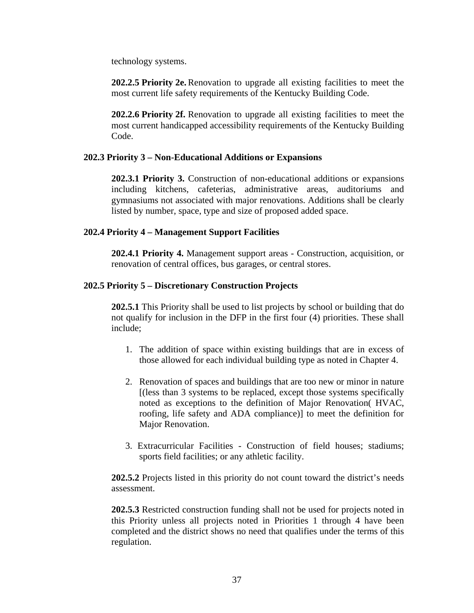technology systems.

**202.2.5 Priority 2e.** Renovation to upgrade all existing facilities to meet the most current life safety requirements of the Kentucky Building Code.

**202.2.6 Priority 2f.** Renovation to upgrade all existing facilities to meet the most current handicapped accessibility requirements of the Kentucky Building Code.

#### **202.3 Priority 3 – Non-Educational Additions or Expansions**

**202.3.1 Priority 3.** Construction of non-educational additions or expansions including kitchens, cafeterias, administrative areas, auditoriums and gymnasiums not associated with major renovations. Additions shall be clearly listed by number, space, type and size of proposed added space.

## **202.4 Priority 4 – Management Support Facilities**

**202.4.1 Priority 4.** Management support areas - Construction, acquisition, or renovation of central offices, bus garages, or central stores.

## **202.5 Priority 5 – Discretionary Construction Projects**

**202.5.1** This Priority shall be used to list projects by school or building that do not qualify for inclusion in the DFP in the first four (4) priorities. These shall include;

- 1. The addition of space within existing buildings that are in excess of those allowed for each individual building type as noted in Chapter 4.
- 2. Renovation of spaces and buildings that are too new or minor in nature [(less than 3 systems to be replaced, except those systems specifically noted as exceptions to the definition of Major Renovation( HVAC, roofing, life safety and ADA compliance)] to meet the definition for Major Renovation.
- 3. Extracurricular Facilities Construction of field houses; stadiums; sports field facilities; or any athletic facility.

**202.5.2** Projects listed in this priority do not count toward the district's needs assessment.

**202.5.3** Restricted construction funding shall not be used for projects noted in this Priority unless all projects noted in Priorities 1 through 4 have been completed and the district shows no need that qualifies under the terms of this regulation.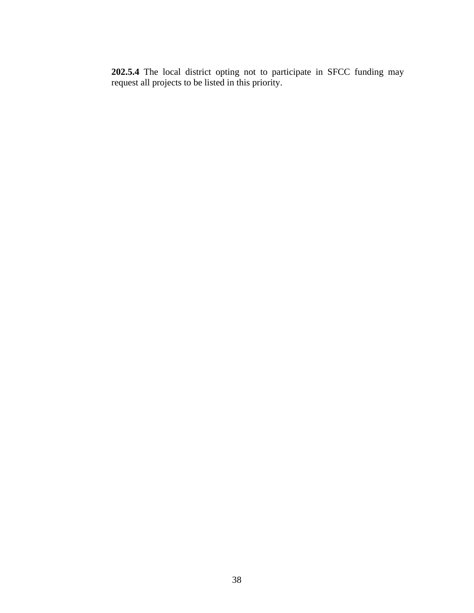**202.5.4** The local district opting not to participate in SFCC funding may request all projects to be listed in this priority.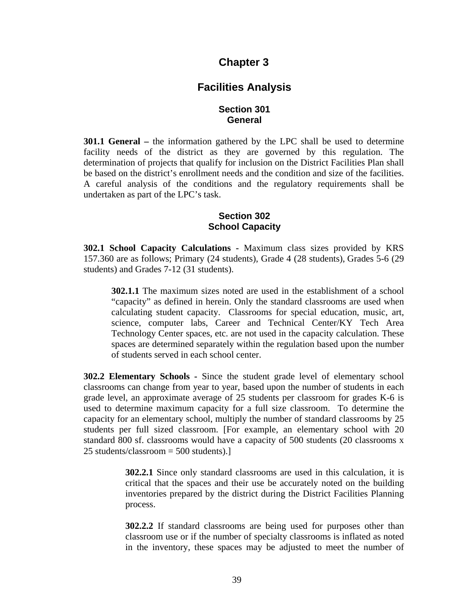## **Chapter 3**

## **Facilities Analysis**

#### **Section 301 General**

**301.1 General –** the information gathered by the LPC shall be used to determine facility needs of the district as they are governed by this regulation. The determination of projects that qualify for inclusion on the District Facilities Plan shall be based on the district's enrollment needs and the condition and size of the facilities. A careful analysis of the conditions and the regulatory requirements shall be undertaken as part of the LPC's task.

### **Section 302 School Capacity**

**302.1 School Capacity Calculations -** Maximum class sizes provided by KRS 157.360 are as follows; Primary (24 students), Grade 4 (28 students), Grades 5-6 (29 students) and Grades 7-12 (31 students).

**302.1.1** The maximum sizes noted are used in the establishment of a school "capacity" as defined in herein. Only the standard classrooms are used when calculating student capacity. Classrooms for special education, music, art, science, computer labs, Career and Technical Center/KY Tech Area Technology Center spaces, etc. are not used in the capacity calculation. These spaces are determined separately within the regulation based upon the number of students served in each school center.

**302.2 Elementary Schools -** Since the student grade level of elementary school classrooms can change from year to year, based upon the number of students in each grade level, an approximate average of 25 students per classroom for grades K-6 is used to determine maximum capacity for a full size classroom. To determine the capacity for an elementary school, multiply the number of standard classrooms by 25 students per full sized classroom. [For example, an elementary school with 20 standard 800 sf. classrooms would have a capacity of 500 students (20 classrooms x 25 students/classroom  $=$  500 students).

> **302.2.1** Since only standard classrooms are used in this calculation, it is critical that the spaces and their use be accurately noted on the building inventories prepared by the district during the District Facilities Planning process.

> **302.2.2** If standard classrooms are being used for purposes other than classroom use or if the number of specialty classrooms is inflated as noted in the inventory, these spaces may be adjusted to meet the number of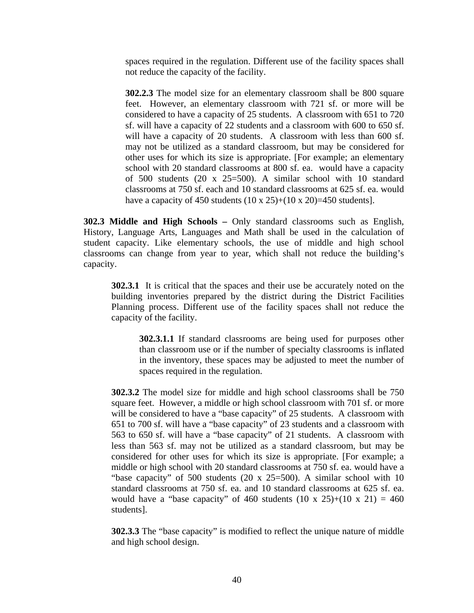spaces required in the regulation. Different use of the facility spaces shall not reduce the capacity of the facility.

**302.2.3** The model size for an elementary classroom shall be 800 square feet. However, an elementary classroom with 721 sf. or more will be considered to have a capacity of 25 students. A classroom with 651 to 720 sf. will have a capacity of 22 students and a classroom with 600 to 650 sf. will have a capacity of 20 students. A classroom with less than 600 sf. may not be utilized as a standard classroom, but may be considered for other uses for which its size is appropriate. [For example; an elementary school with 20 standard classrooms at 800 sf. ea. would have a capacity of 500 students (20 x 25=500). A similar school with 10 standard classrooms at 750 sf. each and 10 standard classrooms at 625 sf. ea. would have a capacity of 450 students  $(10 \times 25)+(10 \times 20)=450$  students].

**302.3 Middle and High Schools –** Only standard classrooms such as English, History, Language Arts, Languages and Math shall be used in the calculation of student capacity. Like elementary schools, the use of middle and high school classrooms can change from year to year, which shall not reduce the building's capacity.

**302.3.1** It is critical that the spaces and their use be accurately noted on the building inventories prepared by the district during the District Facilities Planning process. Different use of the facility spaces shall not reduce the capacity of the facility.

**302.3.1.1** If standard classrooms are being used for purposes other than classroom use or if the number of specialty classrooms is inflated in the inventory, these spaces may be adjusted to meet the number of spaces required in the regulation.

**302.3.2** The model size for middle and high school classrooms shall be 750 square feet. However, a middle or high school classroom with 701 sf. or more will be considered to have a "base capacity" of 25 students. A classroom with 651 to 700 sf. will have a "base capacity" of 23 students and a classroom with 563 to 650 sf. will have a "base capacity" of 21 students. A classroom with less than 563 sf. may not be utilized as a standard classroom, but may be considered for other uses for which its size is appropriate. [For example; a middle or high school with 20 standard classrooms at 750 sf. ea. would have a "base capacity" of 500 students (20 x 25=500). A similar school with 10 standard classrooms at 750 sf. ea. and 10 standard classrooms at 625 sf. ea. would have a "base capacity" of 460 students  $(10 \times 25)+(10 \times 21) = 460$ students].

**302.3.3** The "base capacity" is modified to reflect the unique nature of middle and high school design.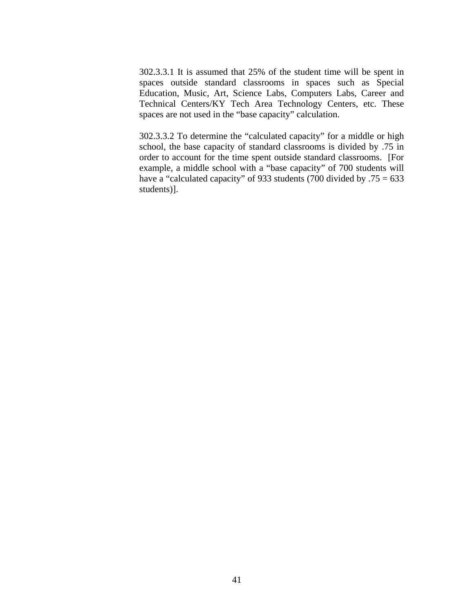302.3.3.1 It is assumed that 25% of the student time will be spent in spaces outside standard classrooms in spaces such as Special Education, Music, Art, Science Labs, Computers Labs, Career and Technical Centers/KY Tech Area Technology Centers, etc. These spaces are not used in the "base capacity" calculation.

302.3.3.2 To determine the "calculated capacity" for a middle or high school, the base capacity of standard classrooms is divided by .75 in order to account for the time spent outside standard classrooms. [For example, a middle school with a "base capacity" of 700 students will have a "calculated capacity" of 933 students (700 divided by .75 = 633 students)].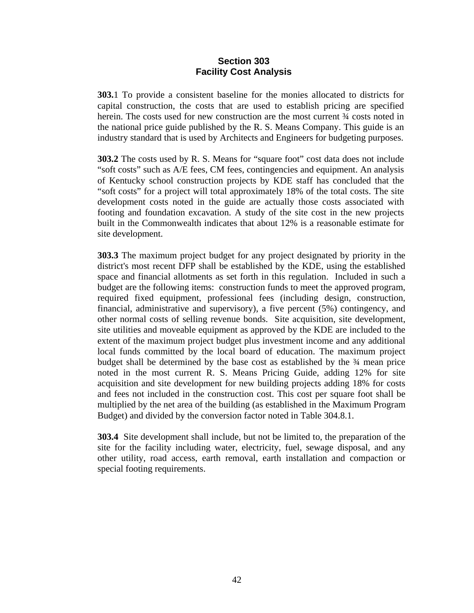#### **Section 303 Facility Cost Analysis**

**303.**1 To provide a consistent baseline for the monies allocated to districts for capital construction, the costs that are used to establish pricing are specified herein. The costs used for new construction are the most current  $\frac{3}{4}$  costs noted in the national price guide published by the R. S. Means Company. This guide is an industry standard that is used by Architects and Engineers for budgeting purposes.

**303.2** The costs used by R. S. Means for "square foot" cost data does not include "soft costs" such as A/E fees, CM fees, contingencies and equipment. An analysis of Kentucky school construction projects by KDE staff has concluded that the "soft costs" for a project will total approximately 18% of the total costs. The site development costs noted in the guide are actually those costs associated with footing and foundation excavation. A study of the site cost in the new projects built in the Commonwealth indicates that about 12% is a reasonable estimate for site development.

**303.3** The maximum project budget for any project designated by priority in the district's most recent DFP shall be established by the KDE, using the established space and financial allotments as set forth in this regulation. Included in such a budget are the following items: construction funds to meet the approved program, required fixed equipment, professional fees (including design, construction, financial, administrative and supervisory), a five percent (5%) contingency, and other normal costs of selling revenue bonds. Site acquisition, site development, site utilities and moveable equipment as approved by the KDE are included to the extent of the maximum project budget plus investment income and any additional local funds committed by the local board of education. The maximum project budget shall be determined by the base cost as established by the ¾ mean price noted in the most current R. S. Means Pricing Guide, adding 12% for site acquisition and site development for new building projects adding 18% for costs and fees not included in the construction cost. This cost per square foot shall be multiplied by the net area of the building (as established in the Maximum Program Budget) and divided by the conversion factor noted in Table 304.8.1.

**303.4** Site development shall include, but not be limited to, the preparation of the site for the facility including water, electricity, fuel, sewage disposal, and any other utility, road access, earth removal, earth installation and compaction or special footing requirements.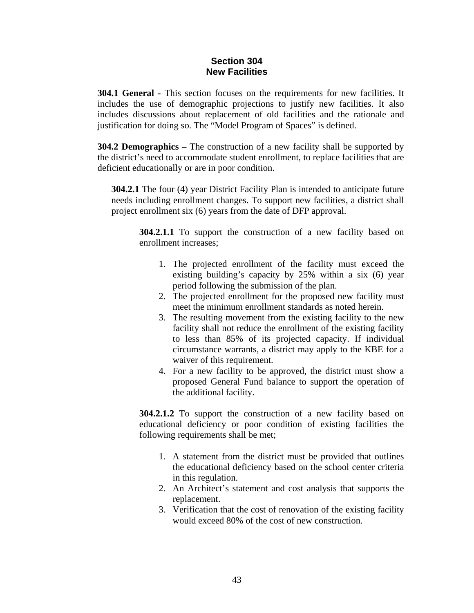### **Section 304 New Facilities**

**304.1 General -** This section focuses on the requirements for new facilities. It includes the use of demographic projections to justify new facilities. It also includes discussions about replacement of old facilities and the rationale and justification for doing so. The "Model Program of Spaces" is defined.

**304.2 Demographics –** The construction of a new facility shall be supported by the district's need to accommodate student enrollment, to replace facilities that are deficient educationally or are in poor condition.

**304.2.1** The four (4) year District Facility Plan is intended to anticipate future needs including enrollment changes. To support new facilities, a district shall project enrollment six (6) years from the date of DFP approval.

**304.2.1.1** To support the construction of a new facility based on enrollment increases;

- 1. The projected enrollment of the facility must exceed the existing building's capacity by 25% within a six (6) year period following the submission of the plan.
- 2. The projected enrollment for the proposed new facility must meet the minimum enrollment standards as noted herein.
- 3. The resulting movement from the existing facility to the new facility shall not reduce the enrollment of the existing facility to less than 85% of its projected capacity. If individual circumstance warrants, a district may apply to the KBE for a waiver of this requirement.
- 4. For a new facility to be approved, the district must show a proposed General Fund balance to support the operation of the additional facility.

**304.2.1.2** To support the construction of a new facility based on educational deficiency or poor condition of existing facilities the following requirements shall be met;

- 1. A statement from the district must be provided that outlines the educational deficiency based on the school center criteria in this regulation.
- 2. An Architect's statement and cost analysis that supports the replacement.
- 3. Verification that the cost of renovation of the existing facility would exceed 80% of the cost of new construction.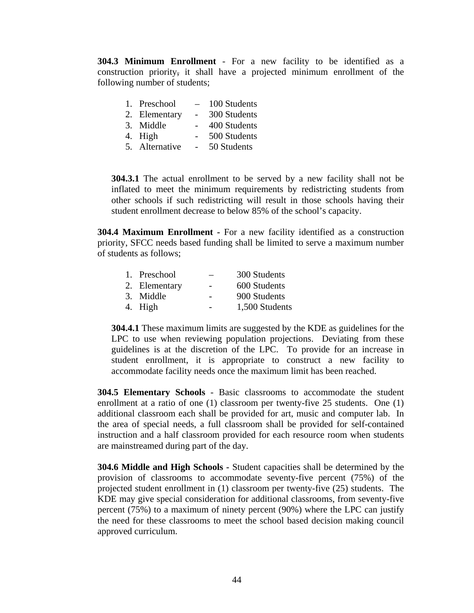**304.3 Minimum Enrollment** - For a new facility to be identified as a construction priority, it shall have a projected minimum enrollment of the following number of students;

| 1. Preschool | 100 Students |
|--------------|--------------|
|--------------|--------------|

- 2. Elementary 300 Students
- 3. Middle 400 Students
- 4. High 500 Students
- 5. Alternative 50 Students

**304.3.1** The actual enrollment to be served by a new facility shall not be inflated to meet the minimum requirements by redistricting students from other schools if such redistricting will result in those schools having their student enrollment decrease to below 85% of the school's capacity.

**304.4 Maximum Enrollment -** For a new facility identified as a construction priority, SFCC needs based funding shall be limited to serve a maximum number of students as follows;

| 1. Preschool  |                          | 300 Students   |
|---------------|--------------------------|----------------|
| 2. Elementary | $\overline{\phantom{0}}$ | 600 Students   |
| 3. Middle     |                          | 900 Students   |
| 4. High       |                          | 1,500 Students |

**304.4.1** These maximum limits are suggested by the KDE as guidelines for the LPC to use when reviewing population projections. Deviating from these guidelines is at the discretion of the LPC. To provide for an increase in student enrollment, it is appropriate to construct a new facility to accommodate facility needs once the maximum limit has been reached.

**304.5 Elementary Schools** - Basic classrooms to accommodate the student enrollment at a ratio of one (1) classroom per twenty-five 25 students. One (1) additional classroom each shall be provided for art, music and computer lab. In the area of special needs, a full classroom shall be provided for self-contained instruction and a half classroom provided for each resource room when students are mainstreamed during part of the day.

**304.6 Middle and High Schools -** Student capacities shall be determined by the provision of classrooms to accommodate seventy-five percent (75%) of the projected student enrollment in (1) classroom per twenty-five (25) students. The KDE may give special consideration for additional classrooms, from seventy-five percent (75%) to a maximum of ninety percent (90%) where the LPC can justify the need for these classrooms to meet the school based decision making council approved curriculum.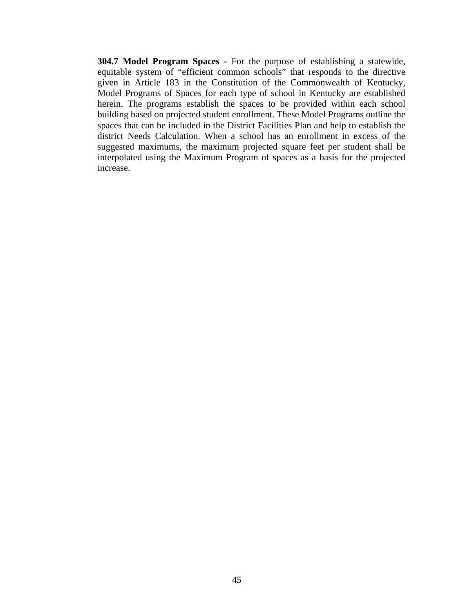**304.7 Model Program Spaces -** For the purpose of establishing a statewide, equitable system of "efficient common schools" that responds to the directive given in Article 183 in the Constitution of the Commonwealth of Kentucky, Model Programs of Spaces for each type of school in Kentucky are established herein. The programs establish the spaces to be provided within each school building based on projected student enrollment. These Model Programs outline the spaces that can be included in the District Facilities Plan and help to establish the district Needs Calculation. When a school has an enrollment in excess of the suggested maximums, the maximum projected square feet per student shall be interpolated using the Maximum Program of spaces as a basis for the projected increase.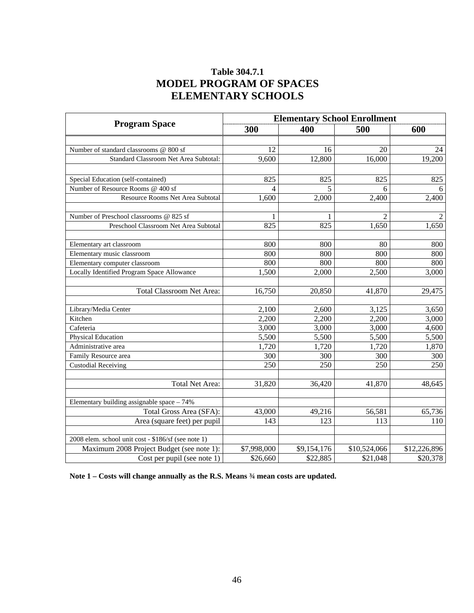## **Table 304.7.1 MODEL PROGRAM OF SPACES ELEMENTARY SCHOOLS**

|                                                     | <b>Elementary School Enrollment</b> |             |                |              |
|-----------------------------------------------------|-------------------------------------|-------------|----------------|--------------|
| <b>Program Space</b>                                | 300                                 | 400         | 500            | 600          |
|                                                     |                                     |             |                |              |
| Number of standard classrooms @ 800 sf              | 12                                  | 16          | 20             | 24           |
| Standard Classroom Net Area Subtotal:               | 9,600                               | 12,800      | 16,000         | 19,200       |
|                                                     |                                     |             |                |              |
| Special Education (self-contained)                  | 825                                 | 825         | 825            | 825          |
| Number of Resource Rooms @ 400 sf                   | 4                                   | 5           | 6              | 6            |
| Resource Rooms Net Area Subtotal                    | 1,600                               | 2,000       | 2,400          | 2,400        |
|                                                     |                                     |             |                |              |
| Number of Preschool classrooms @ 825 sf             |                                     | 1           | $\overline{2}$ | 2            |
| Preschool Classroom Net Area Subtotal               | 825                                 | 825         | 1,650          | 1,650        |
|                                                     |                                     |             |                |              |
| Elementary art classroom                            | 800                                 | 800         | 80             | 800          |
| Elementary music classroom                          | 800                                 | 800         | 800            | 800          |
| Elementary computer classroom                       | 800                                 | 800         | 800            | 800          |
| Locally Identified Program Space Allowance          | 1,500                               | 2,000       | 2,500          | 3,000        |
|                                                     |                                     |             |                |              |
| <b>Total Classroom Net Area:</b>                    | 16,750                              | 20,850      | 41,870         | 29,475       |
|                                                     |                                     |             |                |              |
| Library/Media Center                                | 2,100                               | 2,600       | 3,125          | 3,650        |
| Kitchen                                             | 2,200                               | 2,200       | 2,200          | 3,000        |
| Cafeteria                                           | 3,000                               | 3,000       | 3,000          | 4,600        |
| Physical Education                                  | 5,500                               | 5,500       | 5,500          | 5,500        |
| Administrative area                                 | 1,720                               | 1,720       | 1,720          | 1,870        |
| Family Resource area                                | 300                                 | 300         | 300            | 300          |
| <b>Custodial Receiving</b>                          | 250                                 | 250         | 250            | 250          |
|                                                     |                                     |             |                |              |
| Total Net Area:                                     | 31,820                              | 36,420      | 41,870         | 48,645       |
|                                                     |                                     |             |                |              |
| Elementary building assignable space - 74%          |                                     |             |                |              |
| Total Gross Area (SFA):                             | 43,000                              | 49,216      | 56,581         | 65,736       |
| Area (square feet) per pupil                        | 143                                 | 123         | 113            | 110          |
|                                                     |                                     |             |                |              |
| 2008 elem. school unit cost - \$186/sf (see note 1) |                                     |             |                |              |
| Maximum 2008 Project Budget (see note 1):           | \$7,998,000                         | \$9,154,176 | \$10,524,066   | \$12,226,896 |
| Cost per pupil (see note 1)                         | \$26,660                            | \$22,885    | \$21,048       | \$20,378     |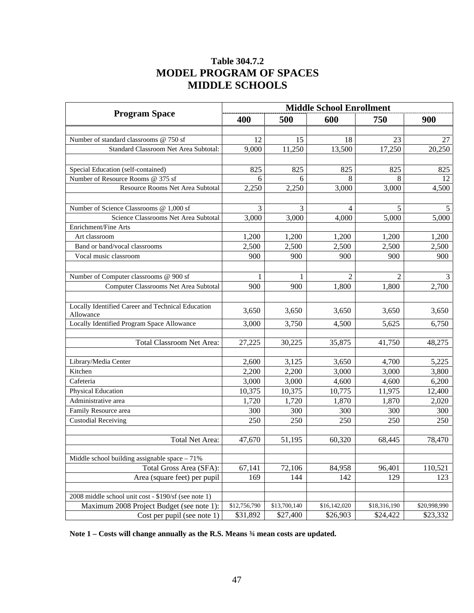## **Table 304.7.2 MODEL PROGRAM OF SPACES MIDDLE SCHOOLS**

|                                                      | <b>Middle School Enrollment</b> |              |              |                |              |
|------------------------------------------------------|---------------------------------|--------------|--------------|----------------|--------------|
| <b>Program Space</b>                                 | 400                             | 500          | 600          | 750            | 900          |
|                                                      |                                 |              |              |                |              |
| Number of standard classrooms @ 750 sf               | 12                              | 15           | 18           | 23             | 27           |
| Standard Classroom Net Area Subtotal:                | 9,000                           | 11,250       | 13,500       | 17,250         | 20,250       |
|                                                      |                                 |              |              |                |              |
| Special Education (self-contained)                   | 825                             | 825          | 825          | 825            | 825          |
| Number of Resource Rooms @ 375 sf                    | 6                               | 6            | 8            | 8              | 12           |
| Resource Rooms Net Area Subtotal                     | 2,250                           | 2,250        | 3,000        | 3,000          | 4,500        |
|                                                      |                                 |              |              |                |              |
| Number of Science Classrooms @ 1,000 sf              | 3                               | 3            | 4            | 5              | 5            |
| Science Classrooms Net Area Subtotal                 | 3,000                           | 3,000        | 4,000        | 5,000          | 5,000        |
| Enrichment/Fine Arts                                 |                                 |              |              |                |              |
| Art classroom                                        | 1,200                           | 1,200        | 1,200        | 1,200          | 1,200        |
| Band or band/vocal classrooms                        | 2,500                           | 2,500        | 2,500        | 2,500          | 2,500        |
| Vocal music classroom                                | 900                             | 900          | 900          | 900            | 900          |
|                                                      |                                 |              |              |                |              |
| Number of Computer classrooms @ 900 sf               | 1                               | 1            | 2            | $\overline{c}$ | 3            |
| Computer Classrooms Net Area Subtotal                | 900                             | 900          | 1,800        | 1,800          | 2,700        |
|                                                      |                                 |              |              |                |              |
| Locally Identified Career and Technical Education    | 3,650                           | 3,650        | 3,650        | 3,650          | 3,650        |
| Allowance                                            |                                 |              |              |                |              |
| Locally Identified Program Space Allowance           | 3,000                           | 3,750        | 4,500        | 5,625          | 6,750        |
|                                                      |                                 |              |              |                |              |
| <b>Total Classroom Net Area:</b>                     | 27,225                          | 30,225       | 35,875       | 41,750         | 48,275       |
|                                                      |                                 |              |              |                |              |
| Library/Media Center                                 | 2,600                           | 3,125        | 3,650        | 4,700          | 5,225        |
| Kitchen                                              | 2,200                           | 2,200        | 3,000        | 3,000          | 3,800        |
| Cafeteria                                            | 3,000                           | 3,000        | 4,600        | 4,600          | 6,200        |
| Physical Education<br>Administrative area            | 10,375                          | 10,375       | 10,775       | 11,975         | 12,400       |
|                                                      | 1,720                           | 1,720        | 1,870        | 1,870          | 2,020        |
| Family Resource area                                 | 300                             | 300          | 300          | 300            | 300          |
| <b>Custodial Receiving</b>                           | 250                             | 250          | 250          | 250            | 250          |
| <b>Total Net Area:</b>                               | 47,670                          | 51,195       | 60,320       | 68,445         | 78,470       |
|                                                      |                                 |              |              |                |              |
| Middle school building assignable space $-71%$       |                                 |              |              |                |              |
| Total Gross Area (SFA):                              | 67,141                          | 72,106       | 84,958       | 96,401         | 110,521      |
| Area (square feet) per pupil                         | 169                             | 144          | 142          | 129            | 123          |
|                                                      |                                 |              |              |                |              |
| 2008 middle school unit cost - \$190/sf (see note 1) |                                 |              |              |                |              |
| Maximum 2008 Project Budget (see note 1):            | \$12,756,790                    | \$13,700,140 | \$16,142,020 | \$18,316,190   | \$20,998,990 |
| Cost per pupil (see note 1)                          | \$31,892                        | \$27,400     | \$26,903     | \$24,422       | \$23,332     |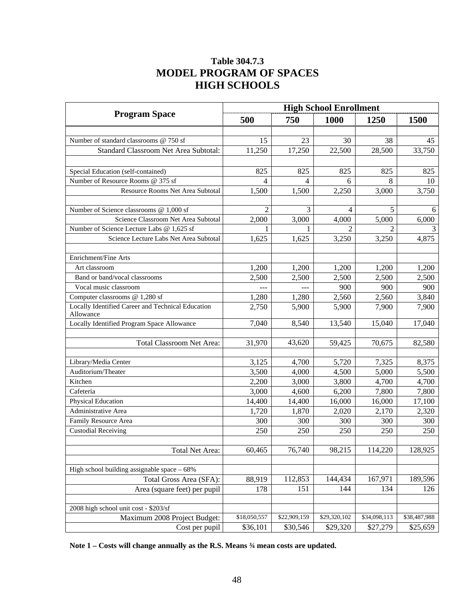## **Table 304.7.3 MODEL PROGRAM OF SPACES HIGH SCHOOLS**

|                                                   | <b>High School Enrollment</b> |              |              |              |              |
|---------------------------------------------------|-------------------------------|--------------|--------------|--------------|--------------|
| <b>Program Space</b>                              | 500                           | 750          | 1000         | 1250         | <b>1500</b>  |
|                                                   |                               |              |              |              |              |
| Number of standard classrooms @ 750 sf            | 15                            | 23           | 30           | 38           | 45           |
| Standard Classroom Net Area Subtotal:             | 11,250                        | 17,250       | 22,500       | 28,500       | 33,750       |
|                                                   |                               |              |              |              |              |
| Special Education (self-contained)                | 825                           | 825          | 825          | 825          | 825          |
| Number of Resource Rooms @ 375 sf                 | 4                             | 4            | 6            | 8            | 10           |
| Resource Rooms Net Area Subtotal                  | 1,500                         | 1,500        | 2,250        | 3,000        | 3,750        |
|                                                   |                               |              |              |              |              |
| Number of Science classrooms @ 1,000 sf           | $\overline{2}$                | 3            | 4            | 5            | 6            |
| Science Classroom Net Area Subtotal               | 2,000                         | 3,000        | 4,000        | 5,000        | 6,000        |
| Number of Science Lecture Labs @ 1,625 sf         |                               |              | 2            | 2            |              |
| Science Lecture Labs Net Area Subtotal            | 1,625                         | 1,625        | 3,250        | 3,250        | 4,875        |
| Enrichment/Fine Arts                              |                               |              |              |              |              |
| Art classroom                                     | 1,200                         | 1,200        | 1,200        | 1,200        | 1,200        |
| Band or band/vocal classrooms                     | 2,500                         | 2,500        | 2,500        | 2,500        | 2,500        |
| Vocal music classroom                             | ---                           |              | 900          | 900          | 900          |
| Computer classrooms @ 1,280 sf                    | 1,280                         | 1,280        | 2,560        | 2,560        | 3,840        |
| Locally Identified Career and Technical Education | 2,750                         | 5,900        | 5,900        | 7,900        | 7,900        |
| Allowance                                         |                               |              |              |              |              |
| Locally Identified Program Space Allowance        | 7,040                         | 8,540        | 13,540       | 15,040       | 17,040       |
|                                                   |                               |              |              |              |              |
| <b>Total Classroom Net Area:</b>                  | 31,970                        | 43,620       | 59,425       | 70,675       | 82,580       |
|                                                   |                               |              |              |              |              |
| Library/Media Center                              | 3,125                         | 4,700        | 5,720        | 7,325        | 8,375        |
| Auditorium/Theater                                | 3,500                         | 4,000        | 4,500        | 5,000        | 5,500        |
| Kitchen                                           | 2,200                         | 3,000        | 3,800        | 4,700        | 4,700        |
| Cafeteria                                         | 3,000                         | 4,600        | 6,200        | 7,800        | 7,800        |
| Physical Education                                | 14,400                        | 14,400       | 16,000       | 16,000       | 17,100       |
| Administrative Area                               | 1,720                         | 1,870        | 2,020        | 2,170        | 2,320        |
| Family Resource Area                              | 300                           | 300          | 300          | 300          | 300          |
| <b>Custodial Receiving</b>                        | 250                           | 250          | 250          | 250          | 250          |
|                                                   |                               |              |              |              |              |
| Total Net Area:                                   | 60,465                        | 76,740       | 98,215       | 114,220      | 128,925      |
| High school building assignable space - 68%       |                               |              |              |              |              |
| Total Gross Area (SFA):                           | 88,919                        | 112,853      | 144,434      | 167,971      | 189,596      |
| Area (square feet) per pupil                      | 178                           | 151          | 144          | 134          | 126          |
|                                                   |                               |              |              |              |              |
| 2008 high school unit cost - \$203/sf             |                               |              |              |              |              |
| Maximum 2008 Project Budget:                      | \$18,050,557                  | \$22,909,159 | \$29,320,102 | \$34,098,113 | \$38,487,988 |
| Cost per pupil                                    | \$36,101                      | \$30,546     | \$29,320     | \$27,279     | \$25,659     |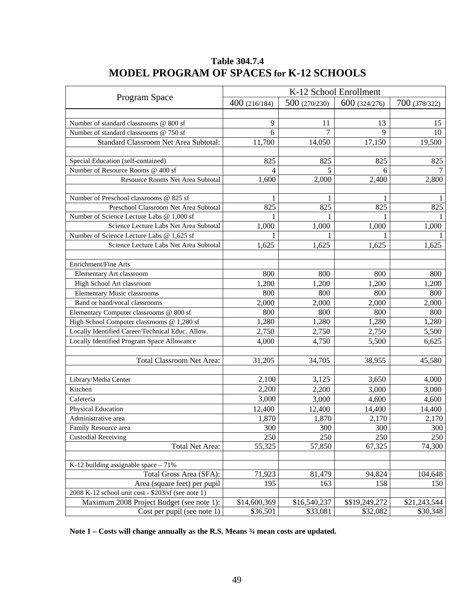|                                                    | K-12 School Enrollment |              |                |               |
|----------------------------------------------------|------------------------|--------------|----------------|---------------|
| Program Space                                      | 400(216/184)           | 500(270/230) | 600 (324/276)  | 700 (378/322) |
|                                                    |                        |              |                |               |
| Number of standard classrooms @ 800 sf             | 9                      | 11           | 13             | 15            |
| Number of standard classrooms @ 750 sf             | 6                      | 7            | 9              | 10            |
| Standard Classroom Net Area Subtotal:              | 11,700                 | 14,050       | 17,150         | 19,500        |
|                                                    |                        |              |                |               |
| Special Education (self-contained)                 | 825                    | 825          | 825            | 825           |
| Number of Resource Rooms @ 400 sf                  | 4                      | 5            | 6              |               |
| Resource Rooms Net Area Subtotal                   | 1,600                  | 2,000        | 2,400          | 2,800         |
|                                                    |                        |              |                |               |
| Number of Preschool classrooms @ 825 sf            |                        | 1            |                |               |
| Preschool Classroom Net Area Subtotal              | 825                    | 825          | 825            | 825           |
| Number of Science Lecture Labs @ 1,000 sf          |                        |              |                |               |
| Science Lecture Labs Net Area Subtotal             | 1,000                  | 1,000        | 1,000          | 1,000         |
| Number of Science Lecture Labs @ 1,625 sf          |                        |              |                |               |
| Science Lecture Labs Net Area Subtotal             | 1,625                  | 1,625        | 1,625          | 1,625         |
|                                                    |                        |              |                |               |
| Enrichment/Fine Arts                               |                        |              |                |               |
| Elementary Art classroom                           | 800                    | 800          | 800            | 800           |
| High School Art classroom                          | 1,200                  | 1,200        | 1,200          | 1,200         |
| <b>Elementary Music classrooms</b>                 | 800                    | 800          | 800            | 800           |
| Band or band/vocal classrooms                      | 2,000                  | 2,000        | 2,000          | 2,000         |
| Elementary Computer classrooms @ 800 sf            | 800                    | 800          | 800            | 800           |
| High School Computer classrooms @ 1,280 sf         | 1,280                  | 1,280        | 1,280          | 1,280         |
| Locally Identified Career/Technical Educ. Allow.   | 2,750                  | 2,750        | 2,750          | 5,500         |
| Locally Identified Program Space Allowance         | 4,000                  | 4,750        | 5,500          | 6,625         |
|                                                    |                        |              |                |               |
| Total Classroom Net Area:                          | 31,205                 | 34,705       | 38,955         | 45,580        |
| Library/Media Center                               | 2,100                  | 3,125        | 3,650          | 4,000         |
| Kitchen                                            | 2,200                  | 2,200        | 3,000          | 3,000         |
| Cafeteria                                          | 3,000                  | 3,000        | 4,600          | 4,600         |
| Physical Education                                 | 12,400                 | 12,400       | 14,400         | 14,400        |
| Administrative area                                | 1,870                  | 1,870        | 2,170          | 2,170         |
| Family Resource area                               | 300                    | 300          | 300            | 300           |
| <b>Custodial Receiving</b>                         | 250                    | 250          | 250            | 250           |
| <b>Total Net Area:</b>                             | 55,325                 | 57,850       | 67,325         | 74,300        |
|                                                    |                        |              |                |               |
| K-12 building assignable space $-71%$              |                        |              |                |               |
| Total Gross Area (SFA):                            | 71,923                 | 81,479       | 94,824         | 104,648       |
| Area (square feet) per pupil                       | 195                    | 163          | 158            | 150           |
| 2008 K-12 school unit cost - \$203/sf (see note 1) |                        |              |                |               |
| Maximum 2008 Project Budget (see note 1):          | \$14,600,369           | \$16,540,237 | \$\$19,249,272 | \$21,243,544  |
| Cost per pupil (see note 1)                        | \$36,501               | \$33,081     | \$32,082       | \$30,348      |

## **Table 304.7.4 MODEL PROGRAM OF SPACES for K-12 SCHOOLS**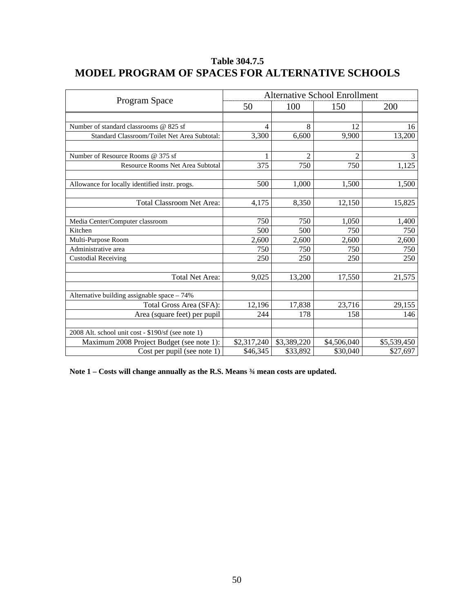|                                                    |             |                | <b>Alternative School Enrollment</b> |             |
|----------------------------------------------------|-------------|----------------|--------------------------------------|-------------|
| Program Space                                      | 50          | 100            | 150                                  | 200         |
|                                                    |             |                |                                      |             |
| Number of standard classrooms @ 825 sf             | 4           | 8              | 12                                   | 16          |
| Standard Classroom/Toilet Net Area Subtotal:       | 3,300       | 6,600          | 9,900                                | 13,200      |
| Number of Resource Rooms @ 375 sf                  | 1           | $\overline{c}$ | $\overline{c}$                       | 3           |
| Resource Rooms Net Area Subtotal                   | 375         | 750            | 750                                  | 1,125       |
|                                                    |             |                |                                      |             |
| Allowance for locally identified instr. progs.     | 500         | 1,000          | 1,500                                | 1,500       |
| <b>Total Classroom Net Area:</b>                   | 4.175       | 8,350          | 12,150                               | 15,825      |
| Media Center/Computer classroom                    | 750         | 750            | 1,050                                | 1,400       |
| Kitchen                                            | 500         | 500            | 750                                  | 750         |
| Multi-Purpose Room                                 | 2,600       | 2,600          | 2,600                                | 2,600       |
| Administrative area                                | 750         | 750            | 750                                  | 750         |
| <b>Custodial Receiving</b>                         | 250         | 250            | 250                                  | 250         |
| <b>Total Net Area:</b>                             | 9,025       | 13,200         | 17,550                               | 21,575      |
| Alternative building assignable space - 74%        |             |                |                                      |             |
| Total Gross Area (SFA):                            | 12,196      | 17,838         | 23,716                               | 29,155      |
| Area (square feet) per pupil                       | 244         | 178            | 158                                  | 146         |
| 2008 Alt. school unit cost - \$190/sf (see note 1) |             |                |                                      |             |
| Maximum 2008 Project Budget (see note 1):          | \$2,317,240 | \$3,389,220    | \$4,506,040                          | \$5,539,450 |
| Cost per pupil (see note 1)                        | \$46,345    | \$33,892       | \$30,040                             | \$27,697    |

## **Table 304.7.5 MODEL PROGRAM OF SPACES FOR ALTERNATIVE SCHOOLS**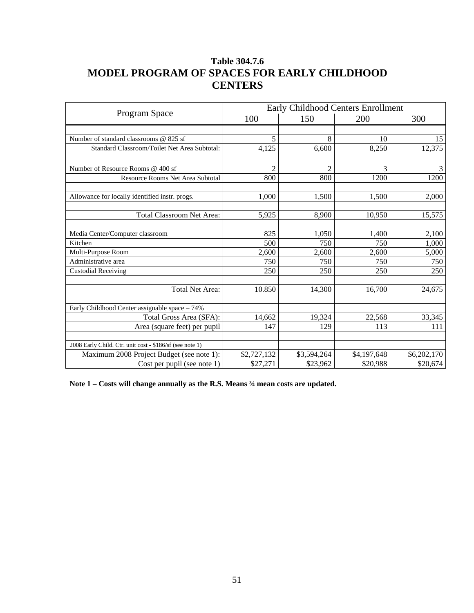## **Table 304.7.6 MODEL PROGRAM OF SPACES FOR EARLY CHILDHOOD CENTERS**

|                                                          | <b>Early Childhood Centers Enrollment</b> |                |             |             |
|----------------------------------------------------------|-------------------------------------------|----------------|-------------|-------------|
| Program Space                                            | 100                                       | 150            | 200         | 300         |
|                                                          |                                           |                |             |             |
| Number of standard classrooms @ 825 sf                   | 5                                         | 8              | 10          | 15          |
| Standard Classroom/Toilet Net Area Subtotal:             | 4,125                                     | 6,600          | 8,250       | 12,375      |
| Number of Resource Rooms @ 400 sf                        | 2                                         | $\overline{2}$ | 3           | 3           |
| Resource Rooms Net Area Subtotal                         | 800                                       | 800            | 1200        | 1200        |
| Allowance for locally identified instr. progs.           | 1.000                                     | 1,500          | 1.500       | 2,000       |
| <b>Total Classroom Net Area:</b>                         | 5,925                                     | 8,900          | 10,950      | 15,575      |
| Media Center/Computer classroom                          | 825                                       | 1,050          | 1,400       | 2,100       |
| Kitchen                                                  | 500                                       | 750            | 750         | 1,000       |
| Multi-Purpose Room                                       | 2,600                                     | 2,600          | 2,600       | 5,000       |
| Administrative area                                      | 750                                       | 750            | 750         | 750         |
| <b>Custodial Receiving</b>                               | 250                                       | 250            | 250         | 250         |
| <b>Total Net Area:</b>                                   | 10.850                                    | 14,300         | 16,700      | 24,675      |
| Early Childhood Center assignable space - 74%            |                                           |                |             |             |
| Total Gross Area (SFA):                                  | 14,662                                    | 19,324         | 22,568      | 33,345      |
| Area (square feet) per pupil                             | 147                                       | 129            | 113         | 111         |
| 2008 Early Child. Ctr. unit cost - \$186/sf (see note 1) |                                           |                |             |             |
| Maximum 2008 Project Budget (see note 1):                | \$2,727,132                               | \$3,594,264    | \$4,197,648 | \$6,202,170 |
| Cost per pupil (see note 1)                              | \$27,271                                  | \$23,962       | \$20,988    | \$20,674    |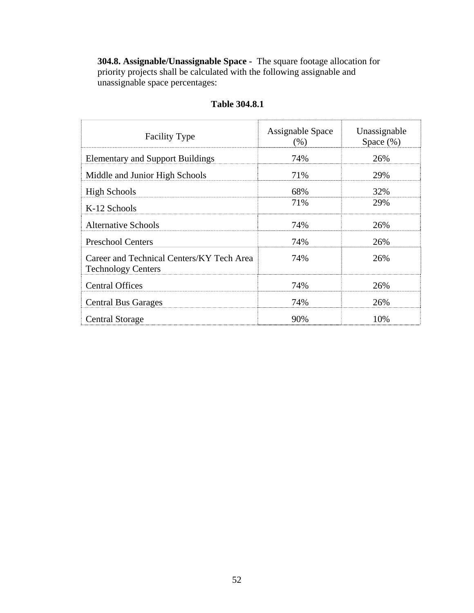**304.8. Assignable/Unassignable Space -** The square footage allocation for priority projects shall be calculated with the following assignable and unassignable space percentages:

| <b>Facility Type</b>                                                   | Assignable Space<br>(% ) | Unassignable<br>Space $(\%)$ |
|------------------------------------------------------------------------|--------------------------|------------------------------|
| <b>Elementary and Support Buildings</b>                                | 74%                      | 26%                          |
| Middle and Junior High Schools                                         | 71%                      | 29%                          |
| <b>High Schools</b>                                                    | 68%                      | 32%                          |
| K-12 Schools                                                           | 71%                      | 29%                          |
| <b>Alternative Schools</b>                                             | 74%                      | 26%                          |
| <b>Preschool Centers</b>                                               | 74%                      | 26%                          |
| Career and Technical Centers/KY Tech Area<br><b>Technology Centers</b> | 74%                      | 26%                          |
| <b>Central Offices</b>                                                 | 74%                      | 26%                          |
| <b>Central Bus Garages</b>                                             | 74%                      | 26%                          |
| Central Storage                                                        | 90%                      | 10%                          |

## **Table 304.8.1**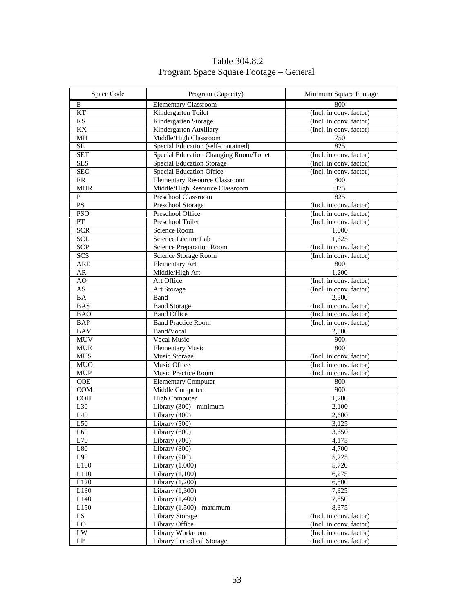| Space Code             | Program (Capacity)                     | Minimum Square Footage  |
|------------------------|----------------------------------------|-------------------------|
| E                      | <b>Elementary Classroom</b>            | 800                     |
| <b>KT</b>              | Kindergarten Toilet                    | (Incl. in conv. factor) |
| $\mathbf{K}\mathbf{S}$ | Kindergarten Storage                   | (Incl. in conv. factor) |
| KX                     | Kindergarten Auxiliary                 | (Incl. in conv. factor) |
| MH                     | Middle/High Classroom                  | 750                     |
| SE                     | Special Education (self-contained)     | 825                     |
| <b>SET</b>             | Special Education Changing Room/Toilet | (Incl. in conv. factor) |
| <b>SES</b>             | <b>Special Education Storage</b>       | (Incl. in conv. factor) |
| <b>SEO</b>             | <b>Special Education Office</b>        | (Incl. in conv. factor) |
| ER                     | <b>Elementary Resource Classroom</b>   | 400                     |
| <b>MHR</b>             | Middle/High Resource Classroom         | $\overline{375}$        |
| $\overline{P}$         | Preschool Classroom                    | 825                     |
| PS                     | Preschool Storage                      | (Incl. in conv. factor) |
| <b>PSO</b>             | Preschool Office                       | (Incl. in conv. factor) |
| ${\cal PT}$            | Preschool Toilet                       | (Incl. in conv. factor) |
| <b>SCR</b>             | Science Room                           | 1,000                   |
| <b>SCL</b>             | Science Lecture Lab                    | 1,625                   |
| SCP                    | <b>Science Preparation Room</b>        | (Incl. in conv. factor) |
| SCS                    | Science Storage Room                   | (Incl. in conv. factor) |
| <b>ARE</b>             | <b>Elementary Art</b>                  | 800                     |
| AR                     | Middle/High Art                        | 1,200                   |
| AO                     | Art Office                             | (Incl. in conv. factor) |
| $\overline{AS}$        | Art Storage                            | (Incl. in conv. factor) |
| BA                     | Band                                   | 2,500                   |
| <b>BAS</b>             | <b>Band Storage</b>                    | (Incl. in conv. factor) |
| <b>BAO</b>             | <b>Band Office</b>                     | (Incl. in conv. factor) |
| <b>BAP</b>             | <b>Band Practice Room</b>              | (Incl. in conv. factor) |
| <b>BAV</b>             | Band/Vocal                             | 2,500                   |
| <b>MUV</b>             | <b>Vocal Music</b>                     | 900                     |
| <b>MUE</b>             | <b>Elementary Music</b>                | 800                     |
| <b>MUS</b>             | Music Storage                          | (Incl. in conv. factor) |
| <b>MUO</b>             | Music Office                           | (Incl. in conv. factor) |
| <b>MUP</b>             | Music Practice Room                    | (Incl. in conv. factor) |
| COE                    | <b>Elementary Computer</b>             | 800                     |
| COM                    | Middle Computer                        | 900                     |
| COH                    | <b>High Computer</b>                   | 1,280                   |
| L30                    | Library (300) - minimum                | 2,100                   |
| L40                    | Library (400)                          | 2,600                   |
| L50                    | Library (500)                          |                         |
|                        | Library (600)                          | 3,125<br>3,650          |
| L60                    |                                        |                         |
| L70                    | Library $(700)$                        | 4,175                   |
| L80                    | Library (800)                          | 4,700                   |
| L90                    | Library (900)                          | 5,225                   |
| L100                   | Library $(1,000)$                      | 5,720                   |
| L110                   | Library $(1,100)$                      | 6,275                   |
| L120                   | Library $(1,200)$                      | 6,800                   |
| L130                   | Library (1,300)                        | 7,325                   |
| L140                   | Library $(1,400)$                      | 7,850                   |
| L150                   | Library (1,500) - maximum              | 8,375                   |
| LS                     | Library Storage                        | (Incl. in conv. factor) |
| LO                     | Library Office                         | (Incl. in conv. factor) |
| ${\rm LW}$             | Library Workroom                       | (Incl. in conv. factor) |
| LP                     | Library Periodical Storage             | (Incl. in conv. factor) |

## Table 304.8.2 Program Space Square Footage – General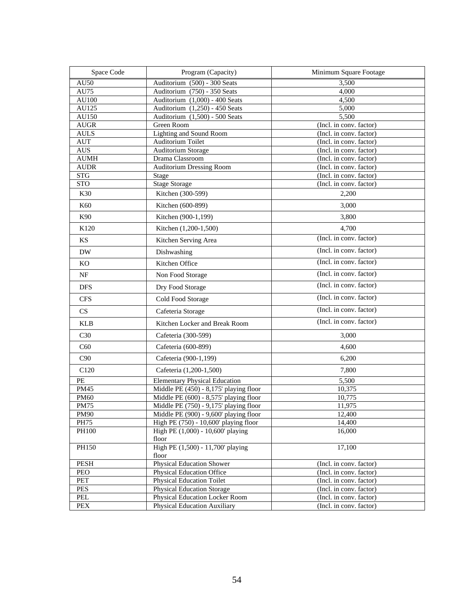| Space Code                                      | Program (Capacity)                                                              | Minimum Square Footage                             |
|-------------------------------------------------|---------------------------------------------------------------------------------|----------------------------------------------------|
| AU50                                            | Auditorium (500) - 300 Seats                                                    | 3,500                                              |
| AU75                                            | Auditorium (750) - 350 Seats                                                    | 4,000                                              |
| AU100                                           | Auditorium (1,000) - 400 Seats                                                  | 4,500                                              |
| AU125                                           | Auditorium (1,250) - 450 Seats                                                  | 5,000                                              |
| AU150                                           | Auditorium (1,500) - 500 Seats                                                  | 5,500                                              |
| <b>AUGR</b>                                     | Green Room                                                                      | (Incl. in conv. factor)                            |
| $\mathbf{AULS}$                                 | Lighting and Sound Room                                                         | (Incl. in conv. factor)                            |
| AUT                                             | Auditorium Toilet<br><b>Auditorium Storage</b>                                  | (Incl. in conv. factor)                            |
| $\mathbf{A}\mathbf{U}\mathbf{S}$<br><b>AUMH</b> | Drama Classroom                                                                 | (Incl. in conv. factor)<br>(Incl. in conv. factor) |
| <b>AUDR</b>                                     | <b>Auditorium Dressing Room</b>                                                 | (Incl. in conv. factor)                            |
| $\overline{\text{STG}}$                         | Stage                                                                           | (Incl. in conv. factor)                            |
| <b>STO</b>                                      | <b>Stage Storage</b>                                                            | (Incl. in conv. factor)                            |
| K30                                             | Kitchen (300-599)                                                               | 2,200                                              |
| K60                                             | Kitchen (600-899)                                                               | 3,000                                              |
| K90                                             | Kitchen (900-1,199)                                                             | 3,800                                              |
| K120                                            | Kitchen (1,200-1,500)                                                           | 4,700                                              |
| KS                                              | Kitchen Serving Area                                                            | (Incl. in conv. factor)                            |
| <b>DW</b>                                       | Dishwashing                                                                     | (Incl. in conv. factor)                            |
| KO                                              | Kitchen Office                                                                  | (Incl. in conv. factor)                            |
| NF                                              | Non Food Storage                                                                | (Incl. in conv. factor)                            |
| <b>DFS</b>                                      | Dry Food Storage                                                                | (Incl. in conv. factor)                            |
| <b>CFS</b>                                      | Cold Food Storage                                                               | (Incl. in conv. factor)                            |
| CS                                              | Cafeteria Storage                                                               | (Incl. in conv. factor)                            |
| <b>KLB</b>                                      | Kitchen Locker and Break Room                                                   | (Incl. in conv. factor)                            |
| C30                                             | Cafeteria (300-599)                                                             | 3,000                                              |
| C60                                             | Cafeteria (600-899)                                                             | 4,600                                              |
| C90                                             | Cafeteria (900-1,199)                                                           | 6,200                                              |
| C120                                            | Cafeteria (1,200-1,500)                                                         | 7,800                                              |
| PE                                              | <b>Elementary Physical Education</b>                                            | 5,500                                              |
| <b>PM45</b>                                     | Middle PE (450) - 8,175' playing floor                                          | 10,375                                             |
| <b>PM60</b>                                     | Middle PE (600) - 8,575' playing floor                                          | 10,775                                             |
| <b>PM75</b><br><b>PM90</b>                      | Middle PE (750) - 9,175' playing floor                                          | 11,975                                             |
| PH75                                            | Middle PE (900) - 9,600' playing floor<br>High PE (750) - 10,600' playing floor | 12,400<br>14,400                                   |
| PH100                                           | High PE (1,000) - 10,600' playing                                               | 16,000                                             |
|                                                 | floor                                                                           |                                                    |
| PH150                                           | High PE (1,500) - 11,700' playing<br>floor                                      | 17,100                                             |
| PESH                                            | <b>Physical Education Shower</b>                                                | (Incl. in conv. factor)                            |
| PEO                                             | <b>Physical Education Office</b>                                                | (Incl. in conv. factor)                            |
| PET                                             | <b>Physical Education Toilet</b>                                                | (Incl. in conv. factor)                            |
| PES                                             | <b>Physical Education Storage</b>                                               | (Incl. in conv. factor)                            |
| PEL                                             | Physical Education Locker Room                                                  | (Incl. in conv. factor)                            |
| PEX                                             | <b>Physical Education Auxiliary</b>                                             | (Incl. in conv. factor)                            |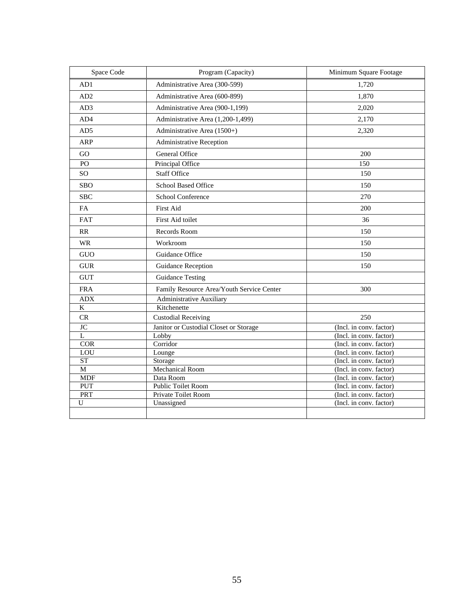| Space Code              | Program (Capacity)                        | Minimum Square Footage  |
|-------------------------|-------------------------------------------|-------------------------|
| AD1                     | Administrative Area (300-599)             | 1,720                   |
| AD2                     | Administrative Area (600-899)             | 1,870                   |
| AD3                     | Administrative Area (900-1,199)           | 2,020                   |
| AD4                     | Administrative Area (1,200-1,499)         | 2,170                   |
| AD5                     | Administrative Area (1500+)               | 2,320                   |
| ARP                     | Administrative Reception                  |                         |
| GO                      | General Office                            | 200                     |
| $\overline{PQ}$         | Principal Office                          | $\overline{150}$        |
| SO <sub>1</sub>         | <b>Staff Office</b>                       | 150                     |
| <b>SBO</b>              | <b>School Based Office</b>                | 150                     |
| <b>SBC</b>              | School Conference                         | 270                     |
| <b>FA</b>               | <b>First Aid</b>                          | 200                     |
| <b>FAT</b>              | First Aid toilet                          | 36                      |
| <b>RR</b>               | Records Room                              | 150                     |
| <b>WR</b>               | Workroom                                  | 150                     |
| <b>GUO</b>              | Guidance Office                           | 150                     |
| <b>GUR</b>              | Guidance Reception                        | 150                     |
| <b>GUT</b>              | <b>Guidance Testing</b>                   |                         |
| <b>FRA</b>              | Family Resource Area/Youth Service Center | 300                     |
| <b>ADX</b>              | <b>Administrative Auxiliary</b>           |                         |
| $\overline{\mathbf{K}}$ | Kitchenette                               |                         |
| CR                      | <b>Custodial Receiving</b>                | 250                     |
| <b>JC</b>               | Janitor or Custodial Closet or Storage    | (Incl. in conv. factor) |
| $\overline{L}$          | Lobby                                     | (Incl. in conv. factor) |
| <b>COR</b>              | Corridor                                  | (Incl. in conv. factor) |
| ${\rm LOU}$             | Lounge                                    | (Incl. in conv. factor) |
| <b>ST</b>               | Storage                                   | (Incl. in conv. factor) |
| $\overline{M}$          | Mechanical Room                           | (Incl. in conv. factor) |
| <b>MDF</b>              | Data Room                                 | (Incl. in conv. factor) |
| PUT                     | <b>Public Toilet Room</b>                 | (Incl. in conv. factor) |
| <b>PRT</b>              | Private Toilet Room                       | (Incl. in conv. factor) |
| $\mathbf U$             | Unassigned                                | (Incl. in conv. factor) |
|                         |                                           |                         |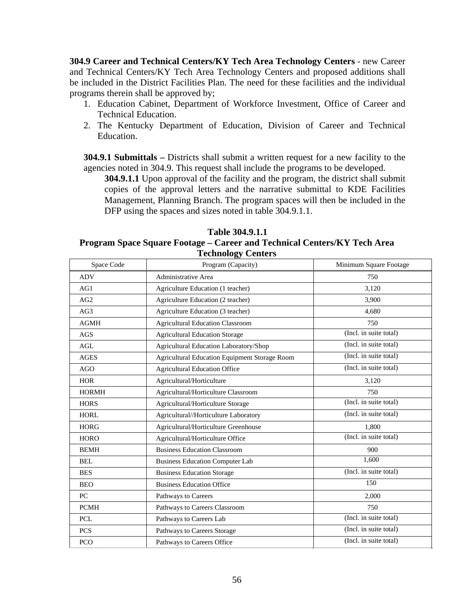**304.9 Career and Technical Centers/KY Tech Area Technology Centers** - new Career and Technical Centers/KY Tech Area Technology Centers and proposed additions shall be included in the District Facilities Plan. The need for these facilities and the individual programs therein shall be approved by;

- 1. Education Cabinet, Department of Workforce Investment, Office of Career and Technical Education.
- 2. The Kentucky Department of Education, Division of Career and Technical Education.

**304.9.1 Submittals –** Districts shall submit a written request for a new facility to the agencies noted in 304.9. This request shall include the programs to be developed.

**304.9.1.1** Upon approval of the facility and the program, the district shall submit copies of the approval letters and the narrative submittal to KDE Facilities Management, Planning Branch. The program spaces will then be included in the DFP using the spaces and sizes noted in table 304.9.1.1.

| Table 304.9.1.1                                                          |
|--------------------------------------------------------------------------|
| Program Space Square Footage – Career and Technical Centers/KY Tech Area |
| Toohnology Contour                                                       |

| Space Code   | Program (Capacity)                                   | Minimum Square Footage |
|--------------|------------------------------------------------------|------------------------|
| <b>ADV</b>   | <b>Administrative Area</b>                           | 750                    |
| AG1          | Agriculture Education (1 teacher)                    | 3,120                  |
| AG2          | Agriculture Education (2 teacher)                    | 3,900                  |
| AG3          | Agriculture Education (3 teacher)                    | 4,680                  |
| <b>AGMH</b>  | <b>Agricultural Education Classroom</b>              | 750                    |
| AGS          | <b>Agricultural Education Storage</b>                | (Incl. in suite total) |
| AGL          | <b>Agricultural Education Laboratory/Shop</b>        | (Incl. in suite total) |
| <b>AGES</b>  | <b>Agricultural Education Equipment Storage Room</b> | (Incl. in suite total) |
| <b>AGO</b>   | <b>Agricultural Education Office</b>                 | (Incl. in suite total) |
| <b>HOR</b>   | Agricultural/Horticulture                            | 3,120                  |
| <b>HORMH</b> | Agricultural/Horticulture Classroom                  | 750                    |
| <b>HORS</b>  | Agricultural/Horticulture Storage                    | (Incl. in suite total) |
| <b>HORL</b>  | Agricultural//Horticulture Laboratory                | (Incl. in suite total) |
| <b>HORG</b>  | Agricultural/Horticulture Greenhouse                 | 1,800                  |
| <b>HORO</b>  | Agricultural/Horticulture Office                     | (Incl. in suite total) |
| <b>BEMH</b>  | <b>Business Education Classroom</b>                  | 900                    |
| <b>BEL</b>   | <b>Business Education Computer Lab</b>               | 1,600                  |
| <b>BES</b>   | <b>Business Education Storage</b>                    | (Incl. in suite total) |
| <b>BEO</b>   | <b>Business Education Office</b>                     | 150                    |
| PC           | Pathways to Careers                                  | 2.000                  |
| <b>PCMH</b>  | Pathways to Careers Classroom                        | 750                    |
| PCL          | Pathways to Careers Lab                              | (Incl. in suite total) |
| <b>PCS</b>   | Pathways to Careers Storage                          | (Incl. in suite total) |
| PCO          | Pathways to Careers Office                           | (Incl. in suite total) |

**Table 304.9.1.1** 

# **Technology Centers**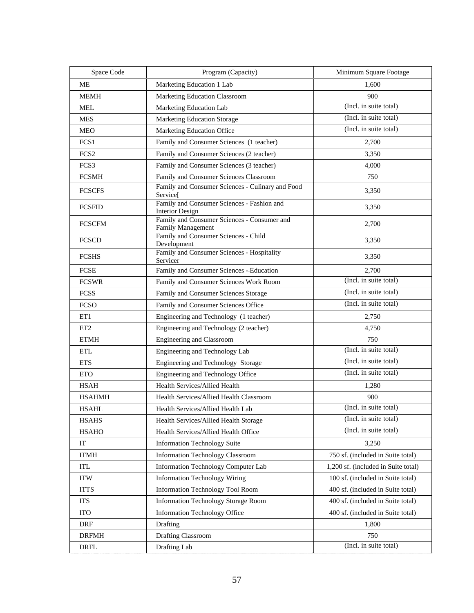| Space Code       | Program (Capacity)                                                       | Minimum Square Footage              |
|------------------|--------------------------------------------------------------------------|-------------------------------------|
| ME               | Marketing Education 1 Lab                                                | 1,600                               |
| <b>MEMH</b>      | Marketing Education Classroom                                            | 900                                 |
| <b>MEL</b>       | Marketing Education Lab                                                  | (Incl. in suite total)              |
| <b>MES</b>       | <b>Marketing Education Storage</b>                                       | (Incl. in suite total)              |
| <b>MEO</b>       | Marketing Education Office                                               | (Incl. in suite total)              |
| FCS <sub>1</sub> | Family and Consumer Sciences (1 teacher)                                 | 2,700                               |
| FCS <sub>2</sub> | Family and Consumer Sciences (2 teacher)                                 | 3,350                               |
| FCS3             | Family and Consumer Sciences (3 teacher)                                 | 4,000                               |
| <b>FCSMH</b>     | Family and Consumer Sciences Classroom                                   | 750                                 |
| <b>FCSCFS</b>    | Family and Consumer Sciences - Culinary and Food<br>Service <sup>[</sup> | 3,350                               |
| <b>FCSFID</b>    | Family and Consumer Sciences - Fashion and<br><b>Interior Design</b>     | 3,350                               |
| <b>FCSCFM</b>    | Family and Consumer Sciences - Consumer and<br>Family Management         | 2,700                               |
| <b>FCSCD</b>     | Family and Consumer Sciences - Child<br>Development                      | 3,350                               |
| <b>FCSHS</b>     | Family and Consumer Sciences - Hospitality<br>Servicer                   | 3,350                               |
| <b>FCSE</b>      | Family and Consumer Sciences - Education                                 | 2,700                               |
| <b>FCSWR</b>     | Family and Consumer Sciences Work Room                                   | (Incl. in suite total)              |
| <b>FCSS</b>      | Family and Consumer Sciences Storage                                     | (Incl. in suite total)              |
| <b>FCSO</b>      | Family and Consumer Sciences Office                                      | (Incl. in suite total)              |
| ET1              | Engineering and Technology (1 teacher)                                   | 2,750                               |
| ET <sub>2</sub>  | Engineering and Technology (2 teacher)                                   | 4,750                               |
| <b>ETMH</b>      | Engineering and Classroom                                                | 750                                 |
| <b>ETL</b>       | Engineering and Technology Lab                                           | (Incl. in suite total)              |
| <b>ETS</b>       | Engineering and Technology Storage                                       | (Incl. in suite total)              |
| <b>ETO</b>       | Engineering and Technology Office                                        | (Incl. in suite total)              |
| <b>HSAH</b>      | Health Services/Allied Health                                            | 1,280                               |
| <b>HSAHMH</b>    | <b>Health Services/Allied Health Classroom</b>                           | 900                                 |
| <b>HSAHL</b>     | Health Services/Allied Health Lab                                        | (Incl. in suite total)              |
| <b>HSAHS</b>     | Health Services/Allied Health Storage                                    | (Incl. in suite total)              |
| <b>HSAHO</b>     | Health Services/Allied Health Office                                     | (Incl. in suite total)              |
| IT               | <b>Information Technology Suite</b>                                      | 3,250                               |
| <b>ITMH</b>      | <b>Information Technology Classroom</b>                                  | 750 sf. (included in Suite total)   |
| ITL              | Information Technology Computer Lab                                      | 1,200 sf. (included in Suite total) |
| <b>ITW</b>       | <b>Information Technology Wiring</b>                                     | 100 sf. (included in Suite total)   |
| <b>ITTS</b>      | <b>Information Technology Tool Room</b>                                  | 400 sf. (included in Suite total)   |
| <b>ITS</b>       | <b>Information Technology Storage Room</b>                               | 400 sf. (included in Suite total)   |
| <b>ITO</b>       | <b>Information Technology Office</b>                                     | 400 sf. (included in Suite total)   |
| <b>DRF</b>       | Drafting                                                                 | 1,800                               |
| <b>DRFMH</b>     | Drafting Classroom                                                       | 750                                 |
| <b>DRFL</b>      | Drafting Lab                                                             | (Incl. in suite total)              |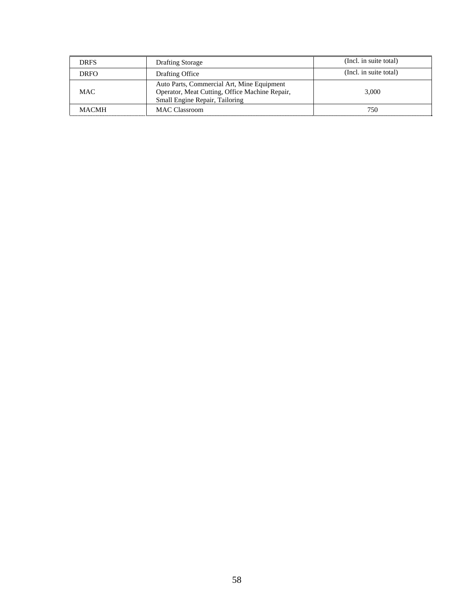| <b>DRFS</b>  | <b>Drafting Storage</b>                                                                                                        | (Incl. in suite total) |
|--------------|--------------------------------------------------------------------------------------------------------------------------------|------------------------|
| <b>DRFO</b>  | Drafting Office                                                                                                                | (Incl. in suite total) |
| MAC          | Auto Parts, Commercial Art, Mine Equipment<br>Operator, Meat Cutting, Office Machine Repair,<br>Small Engine Repair, Tailoring | 3.000                  |
| <b>MACMH</b> | <b>MAC Classroom</b>                                                                                                           | 750                    |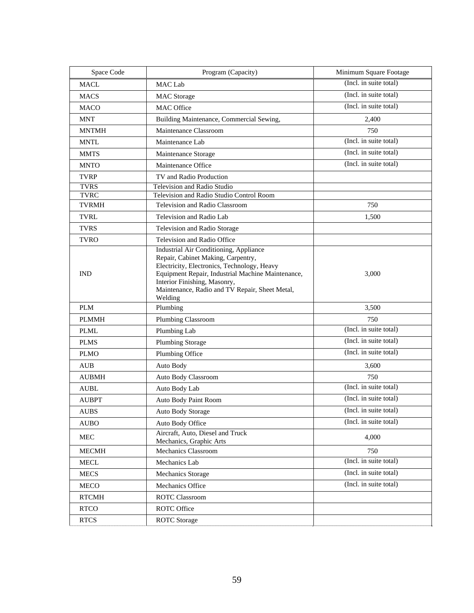| Space Code   | Program (Capacity)                                                                                                                                                                                                                                                            | Minimum Square Footage |
|--------------|-------------------------------------------------------------------------------------------------------------------------------------------------------------------------------------------------------------------------------------------------------------------------------|------------------------|
| <b>MACL</b>  | <b>MAC</b> Lab                                                                                                                                                                                                                                                                | (Incl. in suite total) |
| <b>MACS</b>  | <b>MAC</b> Storage                                                                                                                                                                                                                                                            | (Incl. in suite total) |
| <b>MACO</b>  | <b>MAC</b> Office                                                                                                                                                                                                                                                             | (Incl. in suite total) |
| <b>MNT</b>   | Building Maintenance, Commercial Sewing,                                                                                                                                                                                                                                      | 2,400                  |
| <b>MNTMH</b> | Maintenance Classroom                                                                                                                                                                                                                                                         | 750                    |
| <b>MNTL</b>  | Maintenance Lab                                                                                                                                                                                                                                                               | (Incl. in suite total) |
| <b>MMTS</b>  | Maintenance Storage                                                                                                                                                                                                                                                           | (Incl. in suite total) |
| <b>MNTO</b>  | Maintenance Office                                                                                                                                                                                                                                                            | (Incl. in suite total) |
| <b>TVRP</b>  | TV and Radio Production                                                                                                                                                                                                                                                       |                        |
| <b>TVRS</b>  | Television and Radio Studio                                                                                                                                                                                                                                                   |                        |
| <b>TVRC</b>  | Television and Radio Studio Control Room                                                                                                                                                                                                                                      |                        |
| <b>TVRMH</b> | Television and Radio Classroom                                                                                                                                                                                                                                                | 750                    |
| <b>TVRL</b>  | Television and Radio Lab                                                                                                                                                                                                                                                      | 1,500                  |
| <b>TVRS</b>  | Television and Radio Storage                                                                                                                                                                                                                                                  |                        |
| <b>TVRO</b>  | Television and Radio Office                                                                                                                                                                                                                                                   |                        |
| <b>IND</b>   | Industrial Air Conditioning, Appliance<br>Repair, Cabinet Making, Carpentry,<br>Electricity, Electronics, Technology, Heavy<br>Equipment Repair, Industrial Machine Maintenance,<br>Interior Finishing, Masonry,<br>Maintenance, Radio and TV Repair, Sheet Metal,<br>Welding | 3,000                  |
| <b>PLM</b>   | Plumbing                                                                                                                                                                                                                                                                      | 3,500                  |
| <b>PLMMH</b> | Plumbing Classroom                                                                                                                                                                                                                                                            | 750                    |
| <b>PLML</b>  | Plumbing Lab                                                                                                                                                                                                                                                                  | (Incl. in suite total) |
| <b>PLMS</b>  | <b>Plumbing Storage</b>                                                                                                                                                                                                                                                       | (Incl. in suite total) |
| <b>PLMO</b>  | Plumbing Office                                                                                                                                                                                                                                                               | (Incl. in suite total) |
| <b>AUB</b>   | Auto Body                                                                                                                                                                                                                                                                     | 3,600                  |
| <b>AUBMH</b> | Auto Body Classroom                                                                                                                                                                                                                                                           | 750                    |
| <b>AUBL</b>  | Auto Body Lab                                                                                                                                                                                                                                                                 | (Incl. in suite total) |
| <b>AUBPT</b> | Auto Body Paint Room                                                                                                                                                                                                                                                          | (Incl. in suite total) |
| <b>AUBS</b>  | Auto Body Storage                                                                                                                                                                                                                                                             | (Incl. in suite total) |
| <b>AUBO</b>  | Auto Body Office                                                                                                                                                                                                                                                              | (Incl. in suite total) |
| <b>MEC</b>   | Aircraft, Auto, Diesel and Truck<br>Mechanics, Graphic Arts                                                                                                                                                                                                                   | 4.000                  |
| <b>MECMH</b> | Mechanics Classroom                                                                                                                                                                                                                                                           | 750                    |
| <b>MECL</b>  | Mechanics Lab                                                                                                                                                                                                                                                                 | (Incl. in suite total) |
| <b>MECS</b>  | Mechanics Storage                                                                                                                                                                                                                                                             | (Incl. in suite total) |
| <b>MECO</b>  | Mechanics Office                                                                                                                                                                                                                                                              | (Incl. in suite total) |
| <b>RTCMH</b> | <b>ROTC Classroom</b>                                                                                                                                                                                                                                                         |                        |
| <b>RTCO</b>  | ROTC Office                                                                                                                                                                                                                                                                   |                        |
| <b>RTCS</b>  | <b>ROTC</b> Storage                                                                                                                                                                                                                                                           |                        |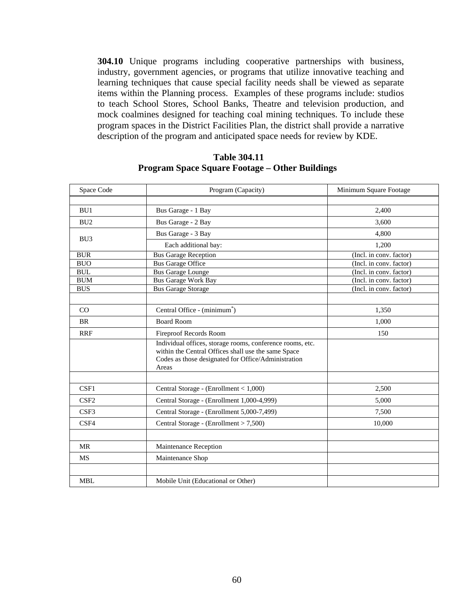**304.10** Unique programs including cooperative partnerships with business, industry, government agencies, or programs that utilize innovative teaching and learning techniques that cause special facility needs shall be viewed as separate items within the Planning process. Examples of these programs include: studios to teach School Stores, School Banks, Theatre and television production, and mock coalmines designed for teaching coal mining techniques. To include these program spaces in the District Facilities Plan, the district shall provide a narrative description of the program and anticipated space needs for review by KDE.

## **Table 304.11 Program Space Square Footage – Other Buildings**

| Space Code       | Program (Capacity)                                                                                                                                                               | Minimum Square Footage  |
|------------------|----------------------------------------------------------------------------------------------------------------------------------------------------------------------------------|-------------------------|
|                  |                                                                                                                                                                                  |                         |
| BU1              | Bus Garage - 1 Bay                                                                                                                                                               | 2,400                   |
| BU <sub>2</sub>  | Bus Garage - 2 Bay                                                                                                                                                               | 3.600                   |
| BU <sub>3</sub>  | Bus Garage - 3 Bay                                                                                                                                                               | 4,800                   |
|                  | Each additional bay:                                                                                                                                                             | 1,200                   |
| <b>BUR</b>       | <b>Bus Garage Reception</b>                                                                                                                                                      | (Incl. in conv. factor) |
| <b>BUO</b>       | <b>Bus Garage Office</b>                                                                                                                                                         | (Incl. in conv. factor) |
| <b>BUL</b>       | <b>Bus Garage Lounge</b>                                                                                                                                                         | (Incl. in conv. factor) |
| <b>BUM</b>       | <b>Bus Garage Work Bay</b>                                                                                                                                                       | (Incl. in conv. factor) |
| <b>BUS</b>       | <b>Bus Garage Storage</b>                                                                                                                                                        | (Incl. in conv. factor) |
|                  |                                                                                                                                                                                  |                         |
| CO               | Central Office - (minimum <sup>*</sup> )                                                                                                                                         | 1,350                   |
| <b>BR</b>        | <b>Board Room</b>                                                                                                                                                                | 1,000                   |
| <b>RRF</b>       | <b>Fireproof Records Room</b>                                                                                                                                                    | 150                     |
|                  | Individual offices, storage rooms, conference rooms, etc.<br>within the Central Offices shall use the same Space<br>Codes as those designated for Office/Administration<br>Areas |                         |
|                  |                                                                                                                                                                                  |                         |
| CSF1             | Central Storage - (Enrollment < 1,000)                                                                                                                                           | 2,500                   |
| CSF <sub>2</sub> | Central Storage - (Enrollment 1,000-4,999)                                                                                                                                       | 5,000                   |
| CSF3             | Central Storage - (Enrollment 5,000-7,499)                                                                                                                                       | 7,500                   |
| CSF4             | Central Storage - (Enrollment > 7,500)                                                                                                                                           | 10,000                  |
|                  |                                                                                                                                                                                  |                         |
| <b>MR</b>        | Maintenance Reception                                                                                                                                                            |                         |
| <b>MS</b>        | Maintenance Shop                                                                                                                                                                 |                         |
|                  |                                                                                                                                                                                  |                         |
| <b>MBL</b>       | Mobile Unit (Educational or Other)                                                                                                                                               |                         |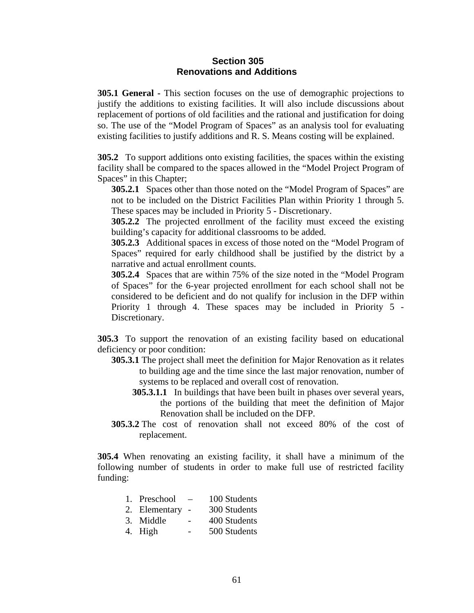#### **Section 305 Renovations and Additions**

**305.1 General -** This section focuses on the use of demographic projections to justify the additions to existing facilities. It will also include discussions about replacement of portions of old facilities and the rational and justification for doing so. The use of the "Model Program of Spaces" as an analysis tool for evaluating existing facilities to justify additions and R. S. Means costing will be explained.

**305.2** To support additions onto existing facilities, the spaces within the existing facility shall be compared to the spaces allowed in the "Model Project Program of Spaces" in this Chapter;

**305.2.1** Spaces other than those noted on the "Model Program of Spaces" are not to be included on the District Facilities Plan within Priority 1 through 5. These spaces may be included in Priority 5 - Discretionary.

**305.2.2** The projected enrollment of the facility must exceed the existing building's capacity for additional classrooms to be added.

**305.2.3** Additional spaces in excess of those noted on the "Model Program of Spaces" required for early childhood shall be justified by the district by a narrative and actual enrollment counts.

**305.2.4** Spaces that are within 75% of the size noted in the "Model Program of Spaces" for the 6-year projected enrollment for each school shall not be considered to be deficient and do not qualify for inclusion in the DFP within Priority 1 through 4. These spaces may be included in Priority 5 - Discretionary.

**305.3** To support the renovation of an existing facility based on educational deficiency or poor condition:

- **305.3.1** The project shall meet the definition for Major Renovation as it relates to building age and the time since the last major renovation, number of systems to be replaced and overall cost of renovation.
	- **305.3.1.1** In buildings that have been built in phases over several years, the portions of the building that meet the definition of Major Renovation shall be included on the DFP.
- **305.3.2** The cost of renovation shall not exceed 80% of the cost of replacement.

**305.4** When renovating an existing facility, it shall have a minimum of the following number of students in order to make full use of restricted facility funding:

| 1. Preschool | 100 Students |
|--------------|--------------|
|--------------|--------------|

- 2. Elementary 300 Students
- 3. Middle 400 Students
- 4. High 500 Students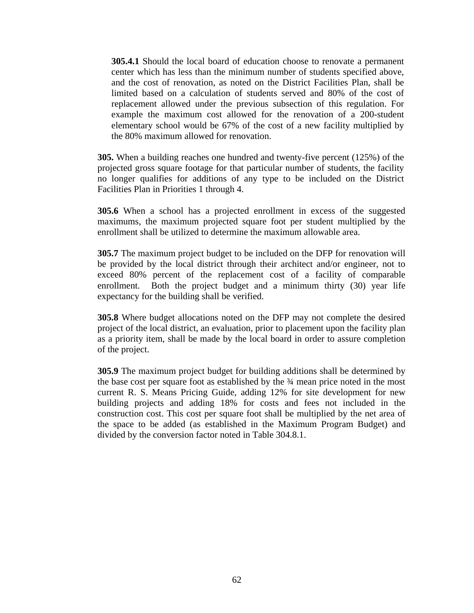**305.4.1** Should the local board of education choose to renovate a permanent center which has less than the minimum number of students specified above, and the cost of renovation, as noted on the District Facilities Plan, shall be limited based on a calculation of students served and 80% of the cost of replacement allowed under the previous subsection of this regulation. For example the maximum cost allowed for the renovation of a 200-student elementary school would be 67% of the cost of a new facility multiplied by the 80% maximum allowed for renovation.

**305.** When a building reaches one hundred and twenty-five percent (125%) of the projected gross square footage for that particular number of students, the facility no longer qualifies for additions of any type to be included on the District Facilities Plan in Priorities 1 through 4.

**305.6** When a school has a projected enrollment in excess of the suggested maximums, the maximum projected square foot per student multiplied by the enrollment shall be utilized to determine the maximum allowable area.

**305.7** The maximum project budget to be included on the DFP for renovation will be provided by the local district through their architect and/or engineer, not to exceed 80% percent of the replacement cost of a facility of comparable enrollment. Both the project budget and a minimum thirty (30) year life expectancy for the building shall be verified.

**305.8** Where budget allocations noted on the DFP may not complete the desired project of the local district, an evaluation, prior to placement upon the facility plan as a priority item, shall be made by the local board in order to assure completion of the project.

**305.9** The maximum project budget for building additions shall be determined by the base cost per square foot as established by the ¾ mean price noted in the most current R. S. Means Pricing Guide, adding 12% for site development for new building projects and adding 18% for costs and fees not included in the construction cost. This cost per square foot shall be multiplied by the net area of the space to be added (as established in the Maximum Program Budget) and divided by the conversion factor noted in Table 304.8.1.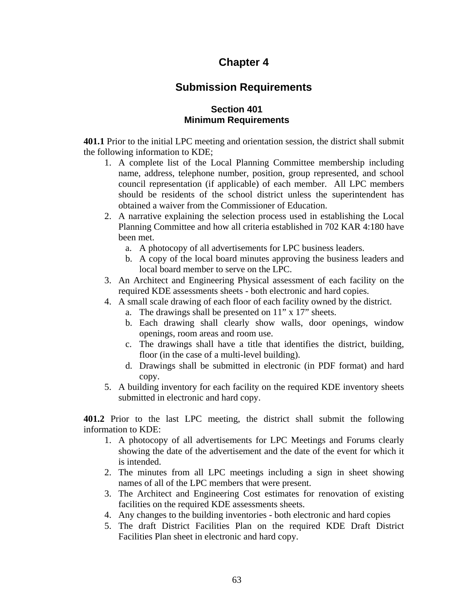## **Chapter 4**

## **Submission Requirements**

## **Section 401 Minimum Requirements**

**401.1** Prior to the initial LPC meeting and orientation session, the district shall submit the following information to KDE;

- 1. A complete list of the Local Planning Committee membership including name, address, telephone number, position, group represented, and school council representation (if applicable) of each member. All LPC members should be residents of the school district unless the superintendent has obtained a waiver from the Commissioner of Education.
- 2. A narrative explaining the selection process used in establishing the Local Planning Committee and how all criteria established in 702 KAR 4:180 have been met.
	- a. A photocopy of all advertisements for LPC business leaders.
	- b. A copy of the local board minutes approving the business leaders and local board member to serve on the LPC.
- 3. An Architect and Engineering Physical assessment of each facility on the required KDE assessments sheets - both electronic and hard copies.
- 4. A small scale drawing of each floor of each facility owned by the district.
	- a. The drawings shall be presented on 11" x 17" sheets.
	- b. Each drawing shall clearly show walls, door openings, window openings, room areas and room use.
	- c. The drawings shall have a title that identifies the district, building, floor (in the case of a multi-level building).
	- d. Drawings shall be submitted in electronic (in PDF format) and hard copy.
- 5. A building inventory for each facility on the required KDE inventory sheets submitted in electronic and hard copy.

**401.2** Prior to the last LPC meeting, the district shall submit the following information to KDE:

- 1. A photocopy of all advertisements for LPC Meetings and Forums clearly showing the date of the advertisement and the date of the event for which it is intended.
- 2. The minutes from all LPC meetings including a sign in sheet showing names of all of the LPC members that were present.
- 3. The Architect and Engineering Cost estimates for renovation of existing facilities on the required KDE assessments sheets.
- 4. Any changes to the building inventories both electronic and hard copies
- 5. The draft District Facilities Plan on the required KDE Draft District Facilities Plan sheet in electronic and hard copy.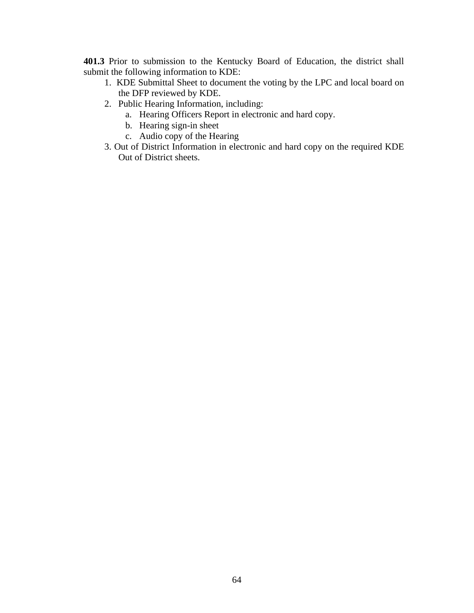**401.3** Prior to submission to the Kentucky Board of Education, the district shall submit the following information to KDE:

- 1. KDE Submittal Sheet to document the voting by the LPC and local board on the DFP reviewed by KDE.
- 2. Public Hearing Information, including:
	- a. Hearing Officers Report in electronic and hard copy.
	- b. Hearing sign-in sheet
	- c. Audio copy of the Hearing
- 3. Out of District Information in electronic and hard copy on the required KDE Out of District sheets.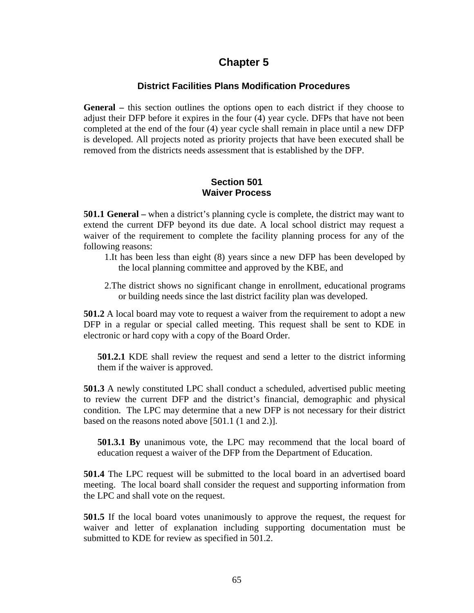## **Chapter 5**

## **District Facilities Plans Modification Procedures**

**General –** this section outlines the options open to each district if they choose to adjust their DFP before it expires in the four (4) year cycle. DFPs that have not been completed at the end of the four (4) year cycle shall remain in place until a new DFP is developed. All projects noted as priority projects that have been executed shall be removed from the districts needs assessment that is established by the DFP.

## **Section 501 Waiver Process**

**501.1 General –** when a district's planning cycle is complete, the district may want to extend the current DFP beyond its due date. A local school district may request a waiver of the requirement to complete the facility planning process for any of the following reasons:

- 1.It has been less than eight (8) years since a new DFP has been developed by the local planning committee and approved by the KBE, and
- 2.The district shows no significant change in enrollment, educational programs or building needs since the last district facility plan was developed.

**501.2** A local board may vote to request a waiver from the requirement to adopt a new DFP in a regular or special called meeting. This request shall be sent to KDE in electronic or hard copy with a copy of the Board Order.

**501.2.1** KDE shall review the request and send a letter to the district informing them if the waiver is approved.

**501.3** A newly constituted LPC shall conduct a scheduled, advertised public meeting to review the current DFP and the district's financial, demographic and physical condition. The LPC may determine that a new DFP is not necessary for their district based on the reasons noted above [501.1 (1 and 2.)].

**501.3.1 By** unanimous vote, the LPC may recommend that the local board of education request a waiver of the DFP from the Department of Education.

**501.4** The LPC request will be submitted to the local board in an advertised board meeting. The local board shall consider the request and supporting information from the LPC and shall vote on the request.

**501.5** If the local board votes unanimously to approve the request, the request for waiver and letter of explanation including supporting documentation must be submitted to KDE for review as specified in 501.2.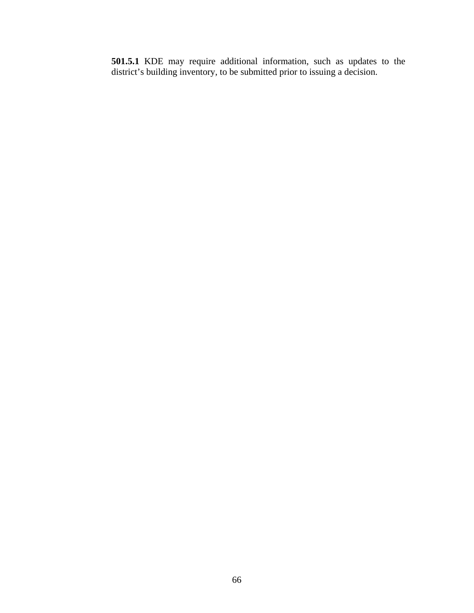**501.5.1** KDE may require additional information, such as updates to the district's building inventory, to be submitted prior to issuing a decision.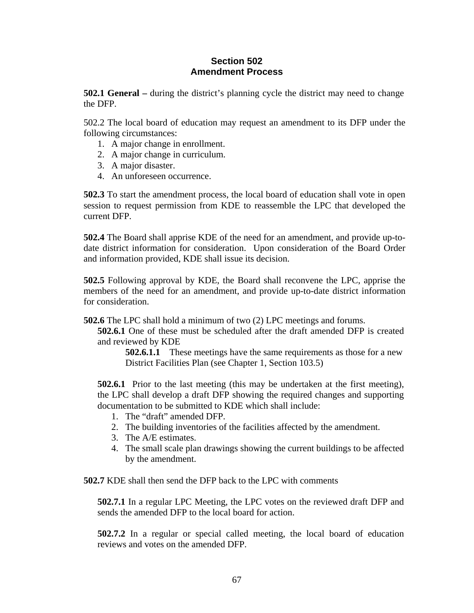## **Section 502 Amendment Process**

**502.1 General –** during the district's planning cycle the district may need to change the DFP.

502.2 The local board of education may request an amendment to its DFP under the following circumstances:

- 1. A major change in enrollment.
- 2. A major change in curriculum.
- 3. A major disaster.
- 4. An unforeseen occurrence.

**502.3** To start the amendment process, the local board of education shall vote in open session to request permission from KDE to reassemble the LPC that developed the current DFP.

**502.4** The Board shall apprise KDE of the need for an amendment, and provide up-todate district information for consideration. Upon consideration of the Board Order and information provided, KDE shall issue its decision.

**502.5** Following approval by KDE, the Board shall reconvene the LPC, apprise the members of the need for an amendment, and provide up-to-date district information for consideration.

**502.6** The LPC shall hold a minimum of two (2) LPC meetings and forums.

**502.6.1** One of these must be scheduled after the draft amended DFP is created and reviewed by KDE

**502.6.1.1** These meetings have the same requirements as those for a new District Facilities Plan (see Chapter 1, Section 103.5)

**502.6.1** Prior to the last meeting (this may be undertaken at the first meeting), the LPC shall develop a draft DFP showing the required changes and supporting documentation to be submitted to KDE which shall include:

- 1. The "draft" amended DFP.
- 2. The building inventories of the facilities affected by the amendment.
- 3. The A/E estimates.
- 4. The small scale plan drawings showing the current buildings to be affected by the amendment.

**502.7** KDE shall then send the DFP back to the LPC with comments

**502.7.1** In a regular LPC Meeting, the LPC votes on the reviewed draft DFP and sends the amended DFP to the local board for action.

**502.7.2** In a regular or special called meeting, the local board of education reviews and votes on the amended DFP.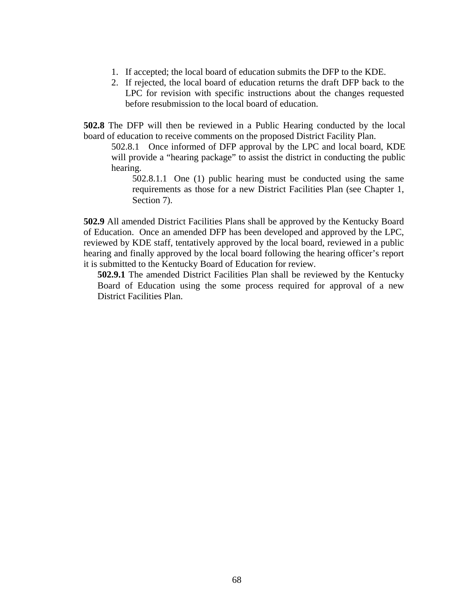- 1. If accepted; the local board of education submits the DFP to the KDE.
- 2. If rejected, the local board of education returns the draft DFP back to the LPC for revision with specific instructions about the changes requested before resubmission to the local board of education.

**502.8** The DFP will then be reviewed in a Public Hearing conducted by the local board of education to receive comments on the proposed District Facility Plan.

502.8.1 Once informed of DFP approval by the LPC and local board, KDE will provide a "hearing package" to assist the district in conducting the public hearing.

502.8.1.1 One (1) public hearing must be conducted using the same requirements as those for a new District Facilities Plan (see Chapter 1, Section 7).

**502.9** All amended District Facilities Plans shall be approved by the Kentucky Board of Education. Once an amended DFP has been developed and approved by the LPC, reviewed by KDE staff, tentatively approved by the local board, reviewed in a public hearing and finally approved by the local board following the hearing officer's report it is submitted to the Kentucky Board of Education for review.

**502.9.1** The amended District Facilities Plan shall be reviewed by the Kentucky Board of Education using the some process required for approval of a new District Facilities Plan.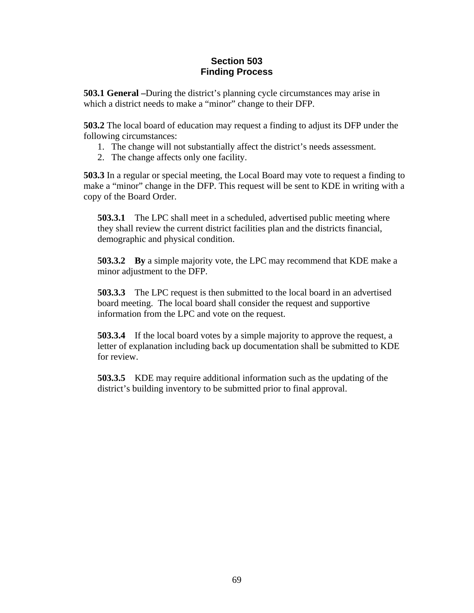## **Section 503 Finding Process**

**503.1 General –**During the district's planning cycle circumstances may arise in which a district needs to make a "minor" change to their DFP.

**503.2** The local board of education may request a finding to adjust its DFP under the following circumstances:

- 1. The change will not substantially affect the district's needs assessment.
- 2. The change affects only one facility.

**503.3** In a regular or special meeting, the Local Board may vote to request a finding to make a "minor" change in the DFP. This request will be sent to KDE in writing with a copy of the Board Order.

**503.3.1** The LPC shall meet in a scheduled, advertised public meeting where they shall review the current district facilities plan and the districts financial, demographic and physical condition.

**503.3.2 By** a simple majority vote, the LPC may recommend that KDE make a minor adjustment to the DFP.

**503.3.3** The LPC request is then submitted to the local board in an advertised board meeting. The local board shall consider the request and supportive information from the LPC and vote on the request.

**503.3.4** If the local board votes by a simple majority to approve the request, a letter of explanation including back up documentation shall be submitted to KDE for review.

**503.3.5** KDE may require additional information such as the updating of the district's building inventory to be submitted prior to final approval.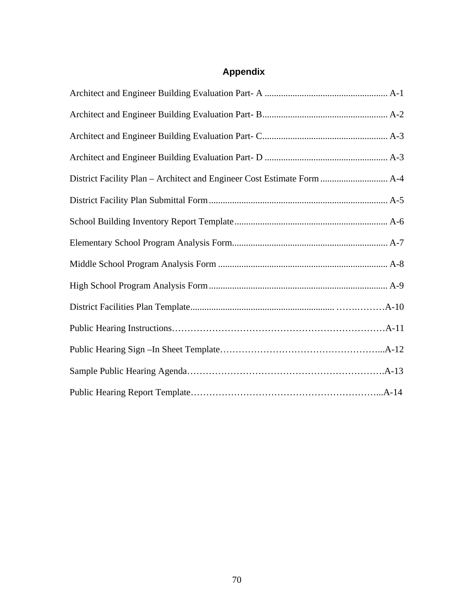## **Appendix**

| District Facility Plan - Architect and Engineer Cost Estimate Form  A-4 |
|-------------------------------------------------------------------------|
|                                                                         |
|                                                                         |
|                                                                         |
|                                                                         |
|                                                                         |
|                                                                         |
|                                                                         |
|                                                                         |
|                                                                         |
|                                                                         |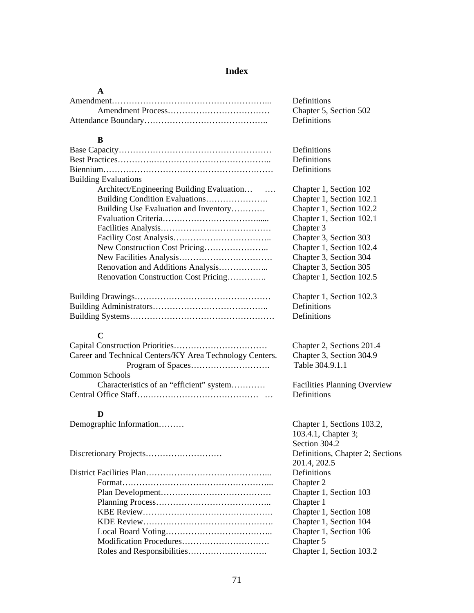#### **Index**

#### **A**

| <b>Definitions</b>     |
|------------------------|
| Chapter 5, Section 502 |
| Definitions            |

#### **B**

|                                                          | Definitions                         |
|----------------------------------------------------------|-------------------------------------|
|                                                          |                                     |
|                                                          | Definitions                         |
|                                                          | Definitions                         |
| <b>Building Evaluations</b>                              |                                     |
| Architect/Engineering Building Evaluation                | Chapter 1, Section 102              |
| Building Condition Evaluations                           | Chapter 1, Section 102.1            |
| Building Use Evaluation and Inventory                    | Chapter 1, Section 102.2            |
|                                                          | Chapter 1, Section 102.1            |
|                                                          | Chapter 3                           |
|                                                          | Chapter 3, Section 303              |
|                                                          | Chapter 1, Section 102.4            |
|                                                          | Chapter 3, Section 304              |
| Renovation and Additions Analysis                        | Chapter 3, Section 305              |
| Renovation Construction Cost Pricing                     | Chapter 1, Section 102.5            |
|                                                          | Chapter 1, Section 102.3            |
|                                                          | Definitions                         |
|                                                          | Definitions                         |
| $\mathbf C$                                              |                                     |
|                                                          | Chapter 2, Sections 201.4           |
|                                                          | Chapter 3, Section 304.9            |
| Career and Technical Centers/KY Area Technology Centers. |                                     |
|                                                          | Table 304.9.1.1                     |
| Common Schools                                           |                                     |
| Characteristics of an "efficient" system                 | <b>Facilities Planning Overview</b> |
|                                                          | Definitions                         |
| D                                                        |                                     |
| Demographic Information                                  | Chapter 1, Sections 103.2,          |
|                                                          | $102.41 \, \text{C}1 \cdot 2$       |

Discretionary Projects……………………… Definitions, Chapter 2; Sections District Facilities Plan……………………………………... Definitions Format……………………………………………... Chapter 2 Plan Development………………………………… Chapter 1, Section 103 Planning Process………………………………….. Chapter 1 KBE Review………………………………………. Chapter 1, Section 108 KDE Review………………………………………. Chapter 1, Section 104 Local Board Voting……………………………….. Chapter 1, Section 106 Modification Procedures…………………………. Chapter 5 Roles and Responsibilities………………………. Chapter 1, Section 103.2

103.4.1, Chapter 3; Section 304.2 201.4, 202.5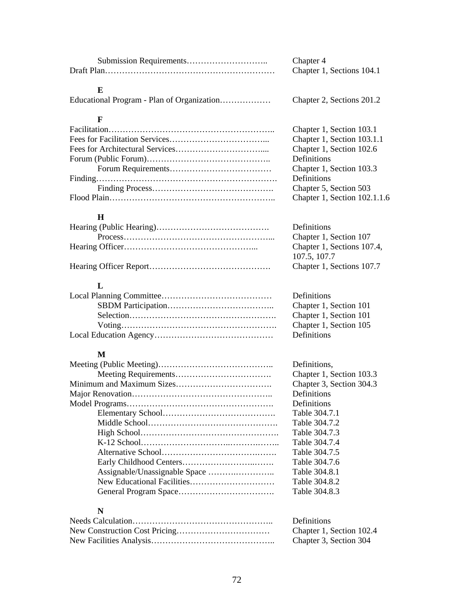| Chapter 4                 |
|---------------------------|
| Chapter 1, Sections 104.1 |

#### **E**

## **F**

#### **H**

| 101.0, 101.1              |
|---------------------------|
| Chapter 1, Sections 107.7 |

## **L**

| Definitions  |
|--------------|
| Chapter 1, S |
| Chapter 1, S |
| Chapter 1, S |
| Definitions  |

#### **M**

| Definitions.             |
|--------------------------|
| Chapter 1, Section 103.3 |
| Chapter 3, Section 304.3 |
| Definitions              |
| Definitions              |
| Table 304.7.1            |
| Table 304.7.2            |
| Table 304.7.3            |
| Table 304.7.4            |
| Table 304.7.5            |
| Table 304.7.6            |
| Table 304.8.1            |
| Table 304.8.2            |
| Table 304.8.3            |
|                          |

## **N**

| <b>Definitions</b>       |
|--------------------------|
| Chapter 1, Section 102.4 |
| Chapter 3, Section 304   |

Chapter 1, Section 103.1 Chapter 1, Section 103.1.1 Chapter 1, Section 102.6 Definitions Chapter 1, Section 103.3 Finding………………………………………………………. Definitions Chapter 5, Section 503 Chapter 1, Section 102.1.1.6

> Definitions Chapter 1, Section 107 Chapter 1, Sections 107.4, 107.5, 107.7

l, Section 101 l, Section 101 l, Section 105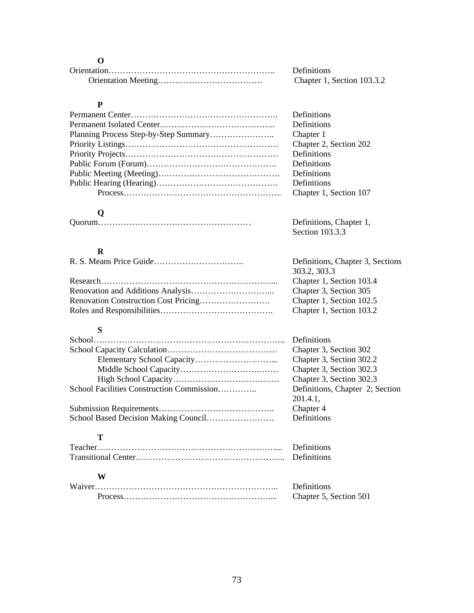#### **O**

| <b>Definitions</b>         |
|----------------------------|
| Chapter 1, Section 103.3.2 |

#### **P**

| <b>Definitions</b>     |
|------------------------|
| Definitions            |
| Chapter 1              |
| Chapter 2, Section 202 |
| Definitions            |
| Definitions            |
| Definitions            |
| Definitions            |
| Chapter 1, Section 107 |

Section 103.3.3

# **Q**

| Definitions, Chapter 1, |
|-------------------------|
|                         |

## **R**

| Definitions, Chapter 3, Sections |
|----------------------------------|
| 303.2, 303.3                     |
| Chapter 1, Section 103.4         |
| Chapter 3, Section 305           |
| Chapter 1, Section 102.5         |
| Chapter 1, Section 103.2         |

## **S**

|                                           | Definitions                     |
|-------------------------------------------|---------------------------------|
|                                           | Chapter 3, Section 302          |
|                                           | Chapter 3, Section 302.2        |
|                                           | Chapter 3, Section 302.3        |
|                                           | Chapter 3, Section 302.3        |
| School Facilities Construction Commission | Definitions, Chapter 2; Section |
|                                           | 201.4.1.                        |
|                                           | Chapter 4                       |
|                                           | Definitions                     |
| т                                         |                                 |
|                                           | Definitions                     |
|                                           | Definitions                     |
| W                                         |                                 |
|                                           | Definitions                     |
|                                           | Chapter 5, Section 501          |